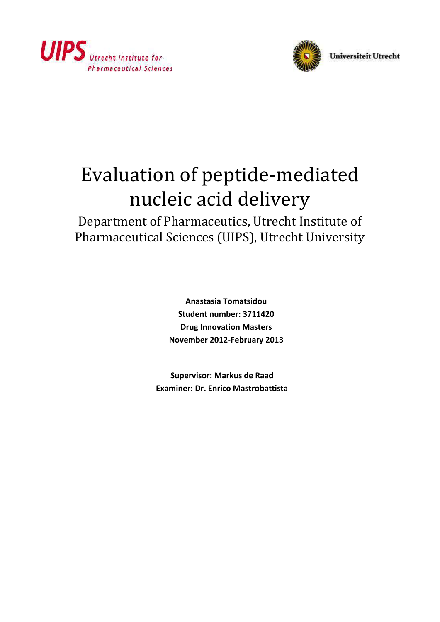



# Evaluation of peptide-mediated nucleic acid delivery

Department of Pharmaceutics, Utrecht Institute of Pharmaceutical Sciences (UIPS), Utrecht University

> **Anastasia Tomatsidou Student number: 3711420 Drug Innovation Masters November 2012-February 2013**

**Supervisor: Markus de Raad Examiner: Dr. Enrico Mastrobattista**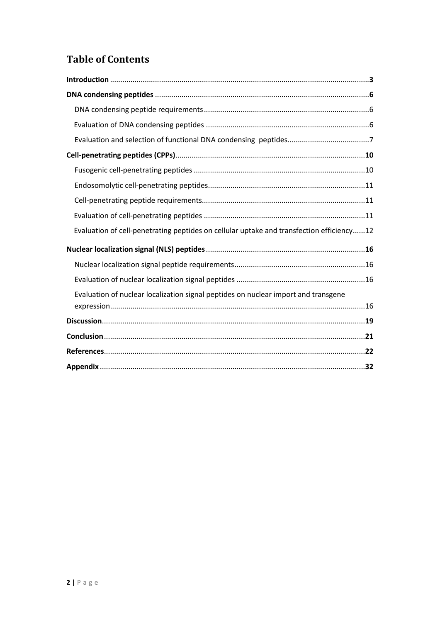# **Table of Contents**

| Evaluation of cell-penetrating peptides on cellular uptake and transfection efficiency12 |
|------------------------------------------------------------------------------------------|
|                                                                                          |
|                                                                                          |
|                                                                                          |
| Evaluation of nuclear localization signal peptides on nuclear import and transgene       |
|                                                                                          |
|                                                                                          |
|                                                                                          |
|                                                                                          |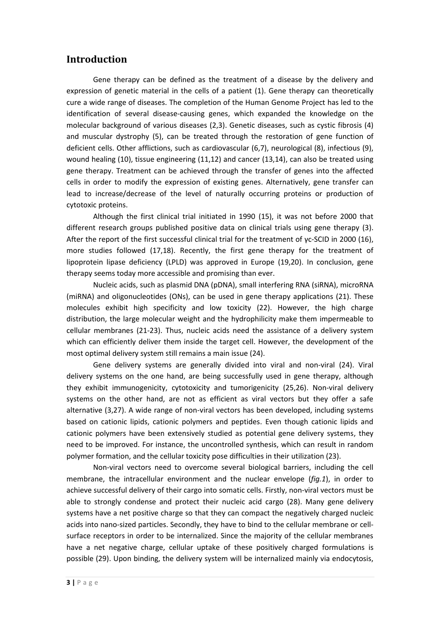## **Introduction**

Gene therapy can be defined as the treatment of a disease by the delivery and expression of genetic material in the cells of a patient (1). Gene therapy can theoretically cure a wide range of diseases. The completion of the Human Genome Project has led to the identification of several disease-causing genes, which expanded the knowledge on the molecular background of various diseases (2,3). Genetic diseases, such as cystic fibrosis (4) and muscular dystrophy (5), can be treated through the restoration of gene function of deficient cells. Other afflictions, such as cardiovascular (6,7), neurological (8), infectious (9), wound healing (10), tissue engineering (11,12) and cancer (13,14), can also be treated using gene therapy. Treatment can be achieved through the transfer of genes into the affected cells in order to modify the expression of existing genes. Alternatively, gene transfer can lead to increase/decrease of the level of naturally occurring proteins or production of cytotoxic proteins.

Although the first clinical trial initiated in 1990 (15), it was not before 2000 that different research groups published positive data on clinical trials using gene therapy (3). After the report of the first successful clinical trial for the treatment of γc-SCID in 2000 (16), more studies followed (17,18). Recently, the first gene therapy for the treatment of lipoprotein lipase deficiency (LPLD) was approved in Europe (19,20). In conclusion, gene therapy seems today more accessible and promising than ever.

Nucleic acids, such as plasmid DNA (pDNA), small interfering RNA (siRNA), microRNA (miRNA) and oligonucleotides (ONs), can be used in gene therapy applications (21). These molecules exhibit high specificity and low toxicity (22). However, the high charge distribution, the large molecular weight and the hydrophilicity make them impermeable to cellular membranes (21-23). Thus, nucleic acids need the assistance of a delivery system which can efficiently deliver them inside the target cell. However, the development of the most optimal delivery system still remains a main issue (24).

Gene delivery systems are generally divided into viral and non-viral (24). Viral delivery systems on the one hand, are being successfully used in gene therapy, although they exhibit immunogenicity, cytotoxicity and tumorigenicity (25,26). Non-viral delivery systems on the other hand, are not as efficient as viral vectors but they offer a safe alternative (3,27). A wide range of non-viral vectors has been developed, including systems based on cationic lipids, cationic polymers and peptides. Even though cationic lipids and cationic polymers have been extensively studied as potential gene delivery systems, they need to be improved. For instance, the uncontrolled synthesis, which can result in random polymer formation, and the cellular toxicity pose difficulties in their utilization (23).

Non-viral vectors need to overcome several biological barriers, including the cell membrane, the intracellular environment and the nuclear envelope (*fig.1*), in order to achieve successful delivery of their cargo into somatic cells. Firstly, non-viral vectors must be able to strongly condense and protect their nucleic acid cargo (28). Many gene delivery systems have a net positive charge so that they can compact the negatively charged nucleic acids into nano-sized particles. Secondly, they have to bind to the cellular membrane or cellsurface receptors in order to be internalized. Since the majority of the cellular membranes have a net negative charge, cellular uptake of these positively charged formulations is possible (29). Upon binding, the delivery system will be internalized mainly via endocytosis,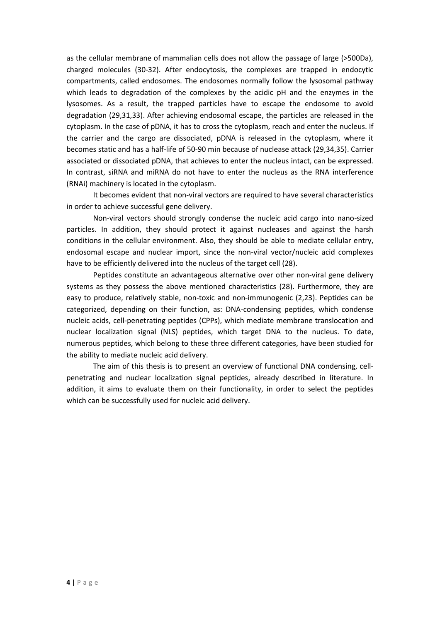as the cellular membrane of mammalian cells does not allow the passage of large (>500Da), charged molecules (30-32). After endocytosis, the complexes are trapped in endocytic compartments, called endosomes. The endosomes normally follow the lysosomal pathway which leads to degradation of the complexes by the acidic pH and the enzymes in the lysosomes. As a result, the trapped particles have to escape the endosome to avoid degradation (29,31,33). After achieving endosomal escape, the particles are released in the cytoplasm. In the case of pDNA, it has to cross the cytoplasm, reach and enter the nucleus. If the carrier and the cargo are dissociated, pDNA is released in the cytoplasm, where it becomes static and has a half-life of 50-90 min because of nuclease attack (29,34,35). Carrier associated or dissociated pDNA, that achieves to enter the nucleus intact, can be expressed. In contrast, siRNA and miRNA do not have to enter the nucleus as the RNA interference (RNAi) machinery is located in the cytoplasm.

It becomes evident that non-viral vectors are required to have several characteristics in order to achieve successful gene delivery.

Non-viral vectors should strongly condense the nucleic acid cargo into nano-sized particles. In addition, they should protect it against nucleases and against the harsh conditions in the cellular environment. Also, they should be able to mediate cellular entry, endosomal escape and nuclear import, since the non-viral vector/nucleic acid complexes have to be efficiently delivered into the nucleus of the target cell (28).

Peptides constitute an advantageous alternative over other non-viral gene delivery systems as they possess the above mentioned characteristics (28). Furthermore, they are easy to produce, relatively stable, non-toxic and non-immunogenic (2,23). Peptides can be categorized, depending on their function, as: DNA-condensing peptides, which condense nucleic acids, cell-penetrating peptides (CPPs), which mediate membrane translocation and nuclear localization signal (NLS) peptides, which target DNA to the nucleus. To date, numerous peptides, which belong to these three different categories, have been studied for the ability to mediate nucleic acid delivery.

The aim of this thesis is to present an overview of functional DNA condensing, cellpenetrating and nuclear localization signal peptides, already described in literature. In addition, it aims to evaluate them on their functionality, in order to select the peptides which can be successfully used for nucleic acid delivery.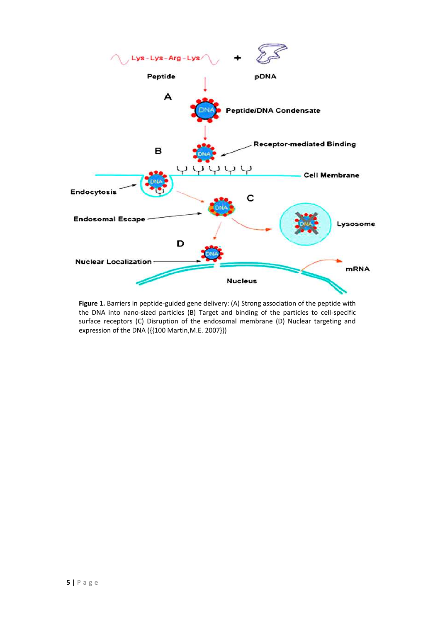

**Figure 1.** Barriers in peptide-guided gene delivery: (A) Strong association of the peptide with the DNA into nano-sized particles (B) Target and binding of the particles to cell-specific surface receptors (C) Disruption of the endosomal membrane (D) Nuclear targeting and expression of the DNA ({{100 Martin,M.E. 2007}})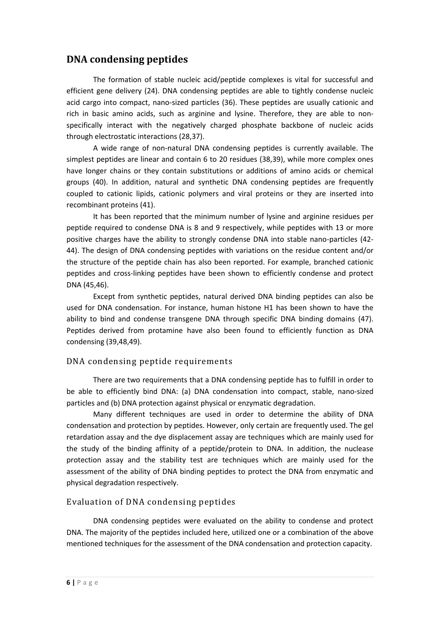## **DNA condensing peptides**

The formation of stable nucleic acid/peptide complexes is vital for successful and efficient gene delivery (24). DNA condensing peptides are able to tightly condense nucleic acid cargo into compact, nano-sized particles (36). These peptides are usually cationic and rich in basic amino acids, such as arginine and lysine. Therefore, they are able to nonspecifically interact with the negatively charged phosphate backbone of nucleic acids through electrostatic interactions (28,37).

A wide range of non-natural DNA condensing peptides is currently available. The simplest peptides are linear and contain 6 to 20 residues (38,39), while more complex ones have longer chains or they contain substitutions or additions of amino acids or chemical groups (40). In addition, natural and synthetic DNA condensing peptides are frequently coupled to cationic lipids, cationic polymers and viral proteins or they are inserted into recombinant proteins (41).

It has been reported that the minimum number of lysine and arginine residues per peptide required to condense DNA is 8 and 9 respectively, while peptides with 13 or more positive charges have the ability to strongly condense DNA into stable nano-particles (42- 44). The design of DNA condensing peptides with variations on the residue content and/or the structure of the peptide chain has also been reported. For example, branched cationic peptides and cross-linking peptides have been shown to efficiently condense and protect DNA (45,46).

Except from synthetic peptides, natural derived DNA binding peptides can also be used for DNA condensation. For instance, human histone H1 has been shown to have the ability to bind and condense transgene DNA through specific DNA binding domains (47). Peptides derived from protamine have also been found to efficiently function as DNA condensing (39,48,49).

### DNA condensing peptide requirements

There are two requirements that a DNA condensing peptide has to fulfill in order to be able to efficiently bind DNA: (a) DNA condensation into compact, stable, nano-sized particles and (b) DNA protection against physical or enzymatic degradation.

Many different techniques are used in order to determine the ability of DNA condensation and protection by peptides. However, only certain are frequently used. The gel retardation assay and the dye displacement assay are techniques which are mainly used for the study of the binding affinity of a peptide/protein to DNA. In addition, the nuclease protection assay and the stability test are techniques which are mainly used for the assessment of the ability of DNA binding peptides to protect the DNA from enzymatic and physical degradation respectively.

### Evaluation of DNA condensing peptides

DNA condensing peptides were evaluated on the ability to condense and protect DNA. The majority of the peptides included here, utilized one or a combination of the above mentioned techniques for the assessment of the DNA condensation and protection capacity.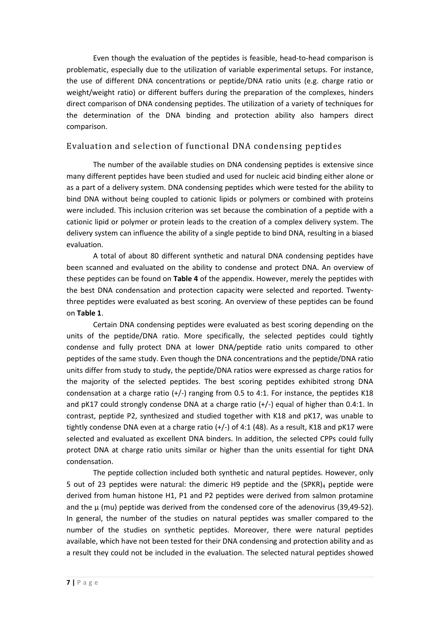Even though the evaluation of the peptides is feasible, head-to-head comparison is problematic, especially due to the utilization of variable experimental setups. For instance, the use of different DNA concentrations or peptide/DNA ratio units (e.g. charge ratio or weight/weight ratio) or different buffers during the preparation of the complexes, hinders direct comparison of DNA condensing peptides. The utilization of a variety of techniques for the determination of the DNA binding and protection ability also hampers direct comparison.

### Evaluation and selection of functional DNA condensing peptides

The number of the available studies on DNA condensing peptides is extensive since many different peptides have been studied and used for nucleic acid binding either alone or as a part of a delivery system. DNA condensing peptides which were tested for the ability to bind DNA without being coupled to cationic lipids or polymers or combined with proteins were included. This inclusion criterion was set because the combination of a peptide with a cationic lipid or polymer or protein leads to the creation of a complex delivery system. The delivery system can influence the ability of a single peptide to bind DNA, resulting in a biased evaluation.

A total of about 80 different synthetic and natural DNA condensing peptides have been scanned and evaluated on the ability to condense and protect DNA. An overview of these peptides can be found on **Table 4** of the appendix. However, merely the peptides with the best DNA condensation and protection capacity were selected and reported. Twentythree peptides were evaluated as best scoring. An overview of these peptides can be found on **Table 1**.

Certain DNA condensing peptides were evaluated as best scoring depending on the units of the peptide/DNA ratio. More specifically, the selected peptides could tightly condense and fully protect DNA at lower DNA/peptide ratio units compared to other peptides of the same study. Even though the DNA concentrations and the peptide/DNA ratio units differ from study to study, the peptide/DNA ratios were expressed as charge ratios for the majority of the selected peptides. The best scoring peptides exhibited strong DNA condensation at a charge ratio  $(+/-)$  ranging from 0.5 to 4:1. For instance, the peptides K18 and  $pK17$  could strongly condense DNA at a charge ratio  $(+/-)$  equal of higher than 0.4:1. In contrast, peptide P2, synthesized and studied together with K18 and pK17, was unable to tightly condense DNA even at a charge ratio  $(+/-)$  of 4:1 (48). As a result, K18 and pK17 were selected and evaluated as excellent DNA binders. In addition, the selected CPPs could fully protect DNA at charge ratio units similar or higher than the units essential for tight DNA condensation.

The peptide collection included both synthetic and natural peptides. However, only 5 out of 23 peptides were natural: the dimeric H9 peptide and the  $(SPKR)<sub>4</sub>$  peptide were derived from human histone H1, P1 and P2 peptides were derived from salmon protamine and the  $\mu$  (mu) peptide was derived from the condensed core of the adenovirus (39,49-52). In general, the number of the studies on natural peptides was smaller compared to the number of the studies on synthetic peptides. Moreover, there were natural peptides available, which have not been tested for their DNA condensing and protection ability and as a result they could not be included in the evaluation. The selected natural peptides showed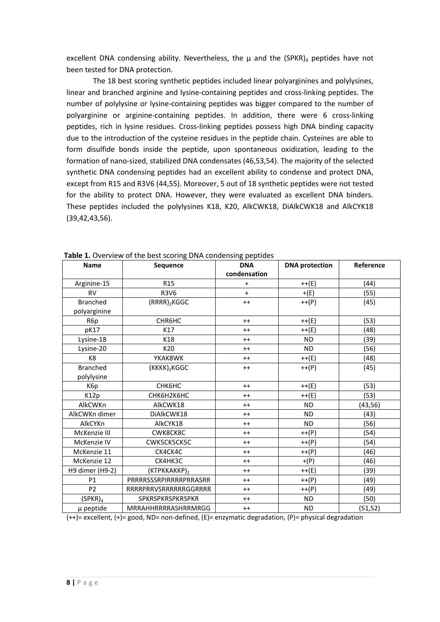excellent DNA condensing ability. Nevertheless, the  $\mu$  and the (SPKR)<sub>4</sub> peptides have not been tested for DNA protection.

The 18 best scoring synthetic peptides included linear polyarginines and polylysines, linear and branched arginine and lysine-containing peptides and cross-linking peptides. The number of polylysine or lysine-containing peptides was bigger compared to the number of polyarginine or arginine-containing peptides. In addition, there were 6 cross-linking peptides, rich in lysine residues. Cross-linking peptides possess high DNA binding capacity due to the introduction of the cysteine residues in the peptide chain. Cysteines are able to form disulfide bonds inside the peptide, upon spontaneous oxidization, leading to the formation of nano-sized, stabilized DNA condensates (46,53,54). The majority of the selected synthetic DNA condensing peptides had an excellent ability to condense and protect DNA, except from R15 and R3V6 (44,55). Moreover, 5 out of 18 synthetic peptides were not tested for the ability to protect DNA. However, they were evaluated as excellent DNA binders. These peptides included the polylysines K18, K20, AlkCWK18, DiAlkCWK18 and AlkCYK18 (39,42,43,56).

| <b>Name</b>         | Sequence                 | <b>DNA</b>   | <b>DNA</b> protection | Reference |
|---------------------|--------------------------|--------------|-----------------------|-----------|
|                     |                          | condensation |                       |           |
| Arginine-15         | R <sub>15</sub>          | $\ddot{}$    | $++(E)$               | (44)      |
| <b>RV</b>           | <b>R3V6</b>              | $\ddot{}$    | $+(E)$                | (55)      |
| <b>Branched</b>     | $(RRRR)_2$ KGGC          | $++$         | $++(P)$               | (45)      |
| polyarginine        |                          |              |                       |           |
| R6p                 | CHR6HC                   | $++$         | $++(E)$               | (53)      |
| pK17                | K17                      | $++$         | $++(E)$               | (48)      |
| Lysine-18           | K18                      | $++$         | <b>ND</b>             | (39)      |
| Lysine-20           | K20                      | $++$         | <b>ND</b>             | (56)      |
| K8                  | YKAK8WK                  | $++$         | $++(E)$               | (48)      |
| <b>Branched</b>     | (KKKK) <sub>2</sub> KGGC | $++$         | $++(P)$               | (45)      |
| polylysine          |                          |              |                       |           |
| K6p                 | <b>СНК6НС</b>            | $++$         | $++(E)$               | (53)      |
| K12p                | СНК6Н2К6НС               | $++$         | $++(E)$               | (53)      |
| AlkCWKn             | AlkCWK18                 | $++$         | <b>ND</b>             | (43, 56)  |
| AlkCWKn dimer       | DiAlkCWK18               | $++$         | <b>ND</b>             | (43)      |
| AlkCYKn             | AlkCYK18                 | $++$         | <b>ND</b>             | (56)      |
| McKenzie III        | CWK8CK8C                 | $++$         | $++(P)$               | (54)      |
| McKenzie IV         | CWK5CK5CK5C              | $++$         | $++(P)$               | (54)      |
| McKenzie 11         | CK4CK4C                  | $++$         | $++(P)$               | (46)      |
| McKenzie 12         | СК4НКЗС                  | $++$         | $+(P)$                | (46)      |
| H9 dimer (H9-2)     | (KTPKKAKKP) <sub>2</sub> | $++$         | $++(E)$               | (39)      |
| P <sub>1</sub>      | PRRRRSSSRPIRRRRPRRASRR   | $++$         | $++(P)$               | (49)      |
| P <sub>2</sub>      | RRRRPRRVSRRRRRRGGRRRR    | $++$         | $++(P)$               | (49)      |
| (SPKR) <sub>4</sub> | SPKRSPKRSPKRSPKR         | $++$         | <b>ND</b>             | (50)      |
| µ peptide           | MRRAHHRRRRASHRRMRGG      | $++$         | <b>ND</b>             | (51,52)   |

**Table 1.** Overview of the best scoring DNA condensing peptides

(++)= excellent, (+)= good, ND= non-defined, (E)= enzymatic degradation, (P)= physical degradation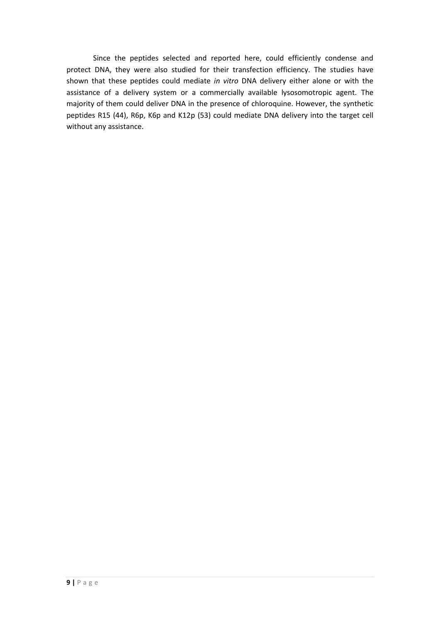Since the peptides selected and reported here, could efficiently condense and protect DNA, they were also studied for their transfection efficiency. The studies have shown that these peptides could mediate *in vitro* DNA delivery either alone or with the assistance of a delivery system or a commercially available lysosomotropic agent. The majority of them could deliver DNA in the presence of chloroquine. However, the synthetic peptides R15 (44), R6p, K6p and K12p (53) could mediate DNA delivery into the target cell without any assistance.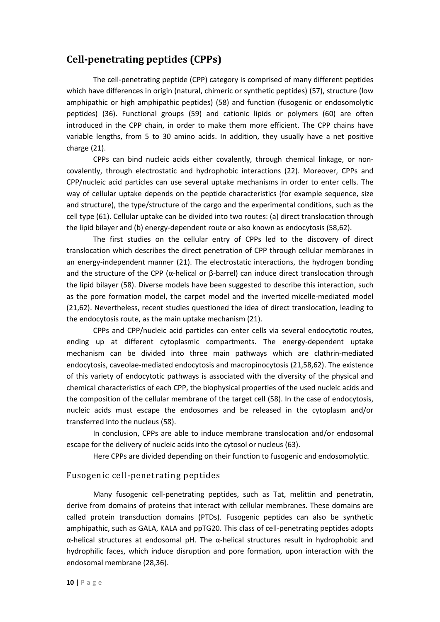## **Cell-penetrating peptides (CPPs)**

The cell-penetrating peptide (CPP) category is comprised of many different peptides which have differences in origin (natural, chimeric or synthetic peptides) (57), structure (low amphipathic or high amphipathic peptides) (58) and function (fusogenic or endosomolytic peptides) (36). Functional groups (59) and cationic lipids or polymers (60) are often introduced in the CPP chain, in order to make them more efficient. The CPP chains have variable lengths, from 5 to 30 amino acids. In addition, they usually have a net positive charge (21).

CPPs can bind nucleic acids either covalently, through chemical linkage, or noncovalently, through electrostatic and hydrophobic interactions (22). Moreover, CPPs and CPP/nucleic acid particles can use several uptake mechanisms in order to enter cells. The way of cellular uptake depends on the peptide characteristics (for example sequence, size and structure), the type/structure of the cargo and the experimental conditions, such as the cell type (61). Cellular uptake can be divided into two routes: (a) direct translocation through the lipid bilayer and (b) energy-dependent route or also known as endocytosis (58,62).

The first studies on the cellular entry of CPPs led to the discovery of direct translocation which describes the direct penetration of CPP through cellular membranes in an energy-independent manner (21). The electrostatic interactions, the hydrogen bonding and the structure of the CPP ( $\alpha$ -helical or  $\beta$ -barrel) can induce direct translocation through the lipid bilayer (58). Diverse models have been suggested to describe this interaction, such as the pore formation model, the carpet model and the inverted micelle-mediated model (21,62). Nevertheless, recent studies questioned the idea of direct translocation, leading to the endocytosis route, as the main uptake mechanism (21).

CPPs and CPP/nucleic acid particles can enter cells via several endocytotic routes, ending up at different cytoplasmic compartments. The energy-dependent uptake mechanism can be divided into three main pathways which are clathrin-mediated endocytosis, caveolae-mediated endocytosis and macropinocytosis (21,58,62). The existence of this variety of endocytotic pathways is associated with the diversity of the physical and chemical characteristics of each CPP, the biophysical properties of the used nucleic acids and the composition of the cellular membrane of the target cell (58). In the case of endocytosis, nucleic acids must escape the endosomes and be released in the cytoplasm and/or transferred into the nucleus (58).

In conclusion, CPPs are able to induce membrane translocation and/or endosomal escape for the delivery of nucleic acids into the cytosol or nucleus (63).

Here CPPs are divided depending on their function to fusogenic and endosomolytic.

### Fusogenic cell-penetrating peptides

Many fusogenic cell-penetrating peptides, such as Tat, melittin and penetratin, derive from domains of proteins that interact with cellular membranes. These domains are called protein transduction domains (PTDs). Fusogenic peptides can also be synthetic amphipathic, such as GALA, KALA and ppTG20. This class of cell-penetrating peptides adopts α-helical structures at endosomal pH. The α-helical structures result in hydrophobic and hydrophilic faces, which induce disruption and pore formation, upon interaction with the endosomal membrane (28,36).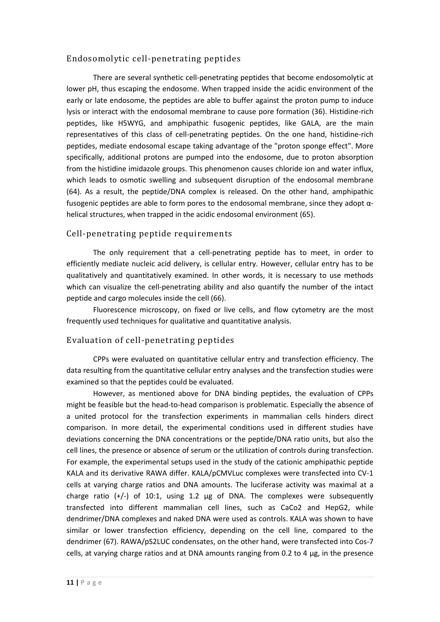#### Endosomolytic cell-penetrating peptides

There are several synthetic cell-penetrating peptides that become endosomolytic at lower pH, thus escaping the endosome. When trapped inside the acidic environment of the early or late endosome, the peptides are able to buffer against the proton pump to induce lysis or interact with the endosomal membrane to cause pore formation (36). Histidine-rich peptides, like H5WYG, and amphipathic fusogenic peptides, like GALA, are the main representatives of this class of cell-penetrating peptides. On the one hand, histidine-rich peptides, mediate endosomal escape taking advantage of the "proton sponge effect". More specifically, additional protons are pumped into the endosome, due to proton absorption from the histidine imidazole groups. This phenomenon causes chloride ion and water influx, which leads to osmotic swelling and subsequent disruption of the endosomal membrane (64). As a result, the peptide/DNA complex is released. On the other hand, amphipathic fusogenic peptides are able to form pores to the endosomal membrane, since they adopt  $\alpha$ helical structures, when trapped in the acidic endosomal environment (65).

#### Cell-penetrating peptide requirements

The only requirement that a cell-penetrating peptide has to meet, in order to efficiently mediate nucleic acid delivery, is cellular entry. However, cellular entry has to be qualitatively and quantitatively examined. In other words, it is necessary to use methods which can visualize the cell-penetrating ability and also quantify the number of the intact peptide and cargo molecules inside the cell (66).

Fluorescence microscopy, on fixed or live cells, and flow cytometry are the most frequently used techniques for qualitative and quantitative analysis.

### Evaluation of cell-penetrating peptides

CPPs were evaluated on quantitative cellular entry and transfection efficiency. The data resulting from the quantitative cellular entry analyses and the transfection studies were examined so that the peptides could be evaluated.

However, as mentioned above for DNA binding peptides, the evaluation of CPPs might be feasible but the head-to-head comparison is problematic. Especially the absence of a united protocol for the transfection experiments in mammalian cells hinders direct comparison. In more detail, the experimental conditions used in different studies have deviations concerning the DNA concentrations or the peptide/DNA ratio units, but also the cell lines, the presence or absence of serum or the utilization of controls during transfection. For example, the experimental setups used in the study of the cationic amphipathic peptide KALA and its derivative RAWA differ. KALA/pCMVLuc complexes were transfected into CV-1 cells at varying charge ratios and DNA amounts. The luciferase activity was maximal at a charge ratio (+/-) of 10:1, using 1.2 μg of DNA. The complexes were subsequently transfected into different mammalian cell lines, such as CaCo2 and HepG2, while dendrimer/DNA complexes and naked DNA were used as controls. KALA was shown to have similar or lower transfection efficiency, depending on the cell line, compared to the dendrimer (67). RAWA/pS2LUC condensates, on the other hand, were transfected into Cos-7 cells, at varying charge ratios and at DNA amounts ranging from 0.2 to 4  $\mu$ g, in the presence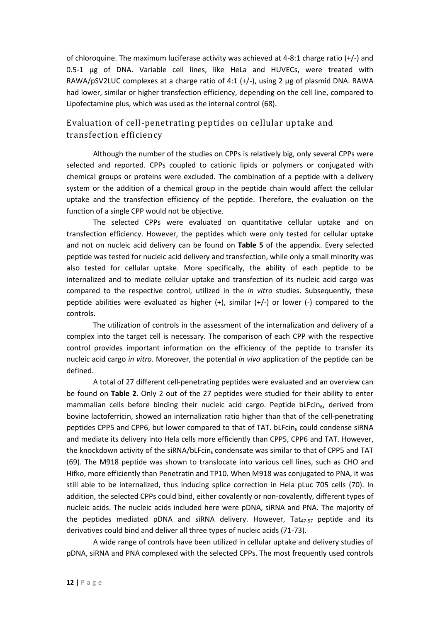of chloroquine. The maximum luciferase activity was achieved at 4-8:1 charge ratio (+/-) and 0.5-1 μg of DNA. Variable cell lines, like HeLa and HUVECs, were treated with RAWA/pSV2LUC complexes at a charge ratio of 4:1  $(+/-)$ , using 2 µg of plasmid DNA. RAWA had lower, similar or higher transfection efficiency, depending on the cell line, compared to Lipofectamine plus, which was used as the internal control (68).

## Evaluation of cell-penetrating peptides on cellular uptake and transfection efficiency

Although the number of the studies on CPPs is relatively big, only several CPPs were selected and reported. CPPs coupled to cationic lipids or polymers or conjugated with chemical groups or proteins were excluded. The combination of a peptide with a delivery system or the addition of a chemical group in the peptide chain would affect the cellular uptake and the transfection efficiency of the peptide. Therefore, the evaluation on the function of a single CPP would not be objective.

The selected CPPs were evaluated on quantitative cellular uptake and on transfection efficiency. However, the peptides which were only tested for cellular uptake and not on nucleic acid delivery can be found on **Table 5** of the appendix. Every selected peptide was tested for nucleic acid delivery and transfection, while only a small minority was also tested for cellular uptake. More specifically, the ability of each peptide to be internalized and to mediate cellular uptake and transfection of its nucleic acid cargo was compared to the respective control, utilized in the *in vitro* studies. Subsequently, these peptide abilities were evaluated as higher (+), similar (+/-) or lower (-) compared to the controls.

The utilization of controls in the assessment of the internalization and delivery of a complex into the target cell is necessary. The comparison of each CPP with the respective control provides important information on the efficiency of the peptide to transfer its nucleic acid cargo *in vitro*. Moreover, the potential *in vivo* application of the peptide can be defined.

A total of 27 different cell-penetrating peptides were evaluated and an overview can be found on **Table 2**. Only 2 out of the 27 peptides were studied for their ability to enter mammalian cells before binding their nucleic acid cargo. Peptide bLFcin $_6$ , derived from bovine lactoferricin, showed an internalization ratio higher than that of the cell-penetrating peptides CPP5 and CPP6, but lower compared to that of TAT.  $bLFcin<sub>6</sub>$  could condense siRNA and mediate its delivery into Hela cells more efficiently than CPP5, CPP6 and TAT. However, the knockdown activity of the siRNA/bLFcin<sub>6</sub> condensate was similar to that of CPP5 and TAT (69). The M918 peptide was shown to translocate into various cell lines, such as CHO and Hifko, more efficiently than Penetratin and TP10. When M918 was conjugated to PNA, it was still able to be internalized, thus inducing splice correction in Hela pLuc 705 cells (70). In addition, the selected CPPs could bind, either covalently or non-covalently, different types of nucleic acids. The nucleic acids included here were pDNA, siRNA and PNA. The majority of the peptides mediated pDNA and siRNA delivery. However,  $\text{Tat}_{47-57}$  peptide and its derivatives could bind and deliver all three types of nucleic acids (71-73).

A wide range of controls have been utilized in cellular uptake and delivery studies of pDNA, siRNA and PNA complexed with the selected CPPs. The most frequently used controls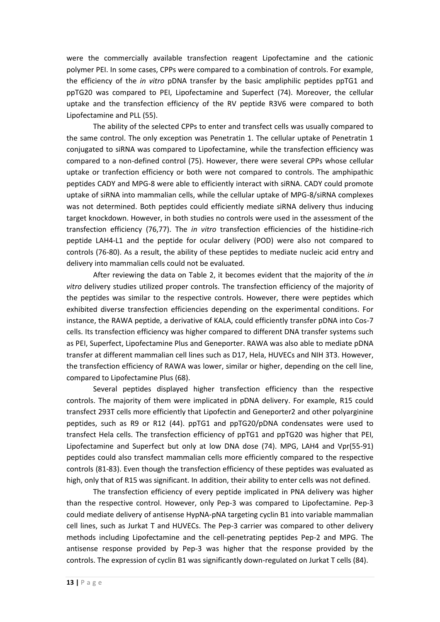were the commercially available transfection reagent Lipofectamine and the cationic polymer PEI. In some cases, CPPs were compared to a combination of controls. For example, the efficiency of the *in vitro* pDNA transfer by the basic ampliphilic peptides ppTG1 and ppTG20 was compared to PEI, Lipofectamine and Superfect (74). Moreover, the cellular uptake and the transfection efficiency of the RV peptide R3V6 were compared to both Lipofectamine and PLL (55).

The ability of the selected CPPs to enter and transfect cells was usually compared to the same control. The only exception was Penetratin 1. The cellular uptake of Penetratin 1 conjugated to siRNA was compared to Lipofectamine, while the transfection efficiency was compared to a non-defined control (75). However, there were several CPPs whose cellular uptake or tranfection efficiency or both were not compared to controls. The amphipathic peptides CADY and MPG-8 were able to efficiently interact with siRNA. CADY could promote uptake of siRNA into mammalian cells, while the cellular uptake of MPG-8/siRNA complexes was not determined. Both peptides could efficiently mediate siRNA delivery thus inducing target knockdown. However, in both studies no controls were used in the assessment of the transfection efficiency (76,77). The *in vitro* transfection efficiencies of the histidine-rich peptide LAH4-L1 and the peptide for ocular delivery (POD) were also not compared to controls (76-80). As a result, the ability of these peptides to mediate nucleic acid entry and delivery into mammalian cells could not be evaluated.

After reviewing the data on Table 2, it becomes evident that the majority of the *in vitro* delivery studies utilized proper controls. The transfection efficiency of the majority of the peptides was similar to the respective controls. However, there were peptides which exhibited diverse transfection efficiencies depending on the experimental conditions. For instance, the RAWA peptide, a derivative of KALA, could efficiently transfer pDNA into Cos-7 cells. Its transfection efficiency was higher compared to different DNA transfer systems such as PEI, Superfect, Lipofectamine Plus and Geneporter. RAWA was also able to mediate pDNA transfer at different mammalian cell lines such as D17, Hela, HUVECs and NIH 3T3. However, the transfection efficiency of RAWA was lower, similar or higher, depending on the cell line, compared to Lipofectamine Plus (68).

Several peptides displayed higher transfection efficiency than the respective controls. The majority of them were implicated in pDNA delivery. For example, R15 could transfect 293T cells more efficiently that Lipofectin and Geneporter2 and other polyarginine peptides, such as R9 or R12 (44). ppTG1 and ppTG20/pDNA condensates were used to transfect Hela cells. The transfection efficiency of ppTG1 and ppTG20 was higher that PEI, Lipofectamine and Superfect but only at low DNA dose (74). MPG, LAH4 and Vpr(55-91) peptides could also transfect mammalian cells more efficiently compared to the respective controls (81-83). Even though the transfection efficiency of these peptides was evaluated as high, only that of R15 was significant. In addition, their ability to enter cells was not defined.

The transfection efficiency of every peptide implicated in PNA delivery was higher than the respective control. However, only Pep-3 was compared to Lipofectamine. Pep-3 could mediate delivery of antisense HypNA-pNA targeting cyclin B1 into variable mammalian cell lines, such as Jurkat T and HUVECs. The Pep-3 carrier was compared to other delivery methods including Lipofectamine and the cell-penetrating peptides Pep-2 and MPG. The antisense response provided by Pep-3 was higher that the response provided by the controls. The expression of cyclin B1 was significantly down-regulated on Jurkat T cells (84).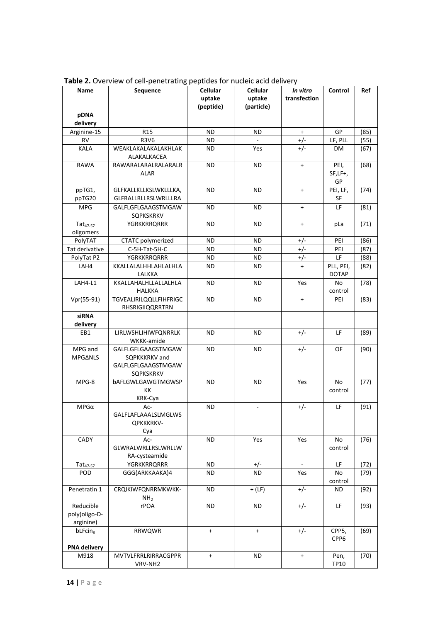| Name                                    | Sequence                                                                      | Cellular            | Cellular                 | In vitro       | Control                   | Ref  |
|-----------------------------------------|-------------------------------------------------------------------------------|---------------------|--------------------------|----------------|---------------------------|------|
|                                         |                                                                               | uptake<br>(peptide) | uptake<br>(particle)     | transfection   |                           |      |
| pDNA<br>delivery                        |                                                                               |                     |                          |                |                           |      |
| Arginine-15                             | R <sub>15</sub>                                                               | <b>ND</b>           | ND                       | $+$            | GP                        | (85) |
| RV                                      | <b>R3V6</b>                                                                   | ND                  |                          | $+/-$          | LF, PLL                   | (55) |
| KALA                                    | WEAKLAKALAKALAKHLAK<br>ALAKALKACEA                                            | ND                  | Yes                      | $+/-$          | DM                        | (67) |
| <b>RAWA</b>                             | RAWARALARALRALARALR<br>ALAR                                                   | ND                  | ND.                      | $+$            | PEI,<br>$SF,LF+,$<br>GP   | (68) |
| ppTG1,<br>ppTG20                        | GLFKALLKLLKSLWKLLLKA,<br>GLFRALLRLLRSLWRLLLRA                                 | <b>ND</b>           | ND.                      | $+$            | PEI, LF,<br>SF            | (74) |
| <b>MPG</b>                              | GALFLGFLGAAGSTMGAW<br>SQPKSKRKV                                               | <b>ND</b>           | ND                       | $+$            | LF                        | (81) |
| $Tat_{47-57}$<br>oligomers              | <b>YGRKKRRQRRR</b>                                                            | ND.                 | ND                       | $+$            | pLa                       | (71) |
| PolyTAT                                 | CTATC polymerized                                                             | <b>ND</b>           | ND                       | $+/-$          | PEI                       | (86) |
| Tat derivative                          | C-5H-Tat-5H-C                                                                 | <b>ND</b>           | <b>ND</b>                | $+/-$          | PEI                       | (87) |
| PolyTat P2                              | <b>YGRKKRRQRRR</b>                                                            | ND                  | ND                       | +/-            | LF                        | (88) |
| LAH4                                    | KKALLALALHHLAHLALHLA<br>LALKKA                                                | ND                  | ND.                      | $\ddot{}$      | PLL, PEI,<br><b>DOTAP</b> | (82) |
| LAH4-L1                                 | KKALLAHALHLLALLALHLA<br><b>HALKKA</b>                                         | <b>ND</b>           | ND.                      | Yes            | No<br>control             | (78) |
| Vpr(55-91)                              | TGVEALIRILQQLLFIHFRIGC<br>RHSRIGIIQQRRTRN                                     | ND                  | ND.                      | $+$            | PEI                       | (83) |
| <b>siRNA</b><br>delivery                |                                                                               |                     |                          |                |                           |      |
| EB1                                     | LIRLWSHLIHIWFQNRRLK<br>WKKK-amide                                             | ND.                 | ND.                      | $+/-$          | LF                        | (89) |
| MPG and<br><b>MPGANLS</b>               | GALFLGFLGAAGSTMGAW<br>SQPKKKRKV and<br>GALFLGFLGAAGSTMGAW<br><b>SQPKSKRKV</b> | ND                  | ND.                      | $+/-$          | OF                        | (90) |
| MPG-8                                   | bAFLGWLGAWGTMGWSP<br>КK<br>KRK-Cya                                            | <b>ND</b>           | <b>ND</b>                | Yes            | No<br>control             | (77) |
| $MPG\alpha$                             | Ac-<br>GALFLAFLAAALSLMGLWS<br>QPKKKRKV-<br>Cya                                | ND.                 | $\overline{\phantom{a}}$ | $+/-$          | LF                        | (91) |
| CADY                                    | Ac-<br>GLWRALWRLLRSLWRLLW<br>RA-cysteamide                                    | <b>ND</b>           | Yes                      | Yes            | No<br>control             | (76) |
| $Tat_{47-57}$                           | <b>YGRKKRRQRRR</b>                                                            | ND                  | $+/-$                    | $\blacksquare$ | LF                        | (72) |
| <b>POD</b>                              | GGG(ARKKAAKA)4                                                                | ND                  | ND                       | Yes            | No<br>control             | (79) |
| Penetratin 1                            | CRQIKIWFQNRRMKWKK-<br>NH <sub>2</sub>                                         | ND                  | $+$ (LF)                 | $+/-$          | ND                        | (92) |
| Reducible<br>poly(oligo-D-<br>arginine) | rPOA                                                                          | <b>ND</b>           | <b>ND</b>                | $+/-$          | LF                        | (93) |
| $b$ LFcin <sub>6</sub>                  | <b>RRWQWR</b>                                                                 | $+$                 | $\ddot{}$                | $+/-$          | CPP5,<br>CPP6             | (69) |
| <b>PNA delivery</b>                     |                                                                               |                     |                          |                |                           |      |
| M918                                    | MVTVLFRRLRIRRACGPPR<br>VRV-NH2                                                | $\ddot{}$           | <b>ND</b>                | $+$            | Pen,<br><b>TP10</b>       | (70) |

**Table 2.** Overview of cell-penetrating peptides for nucleic acid delivery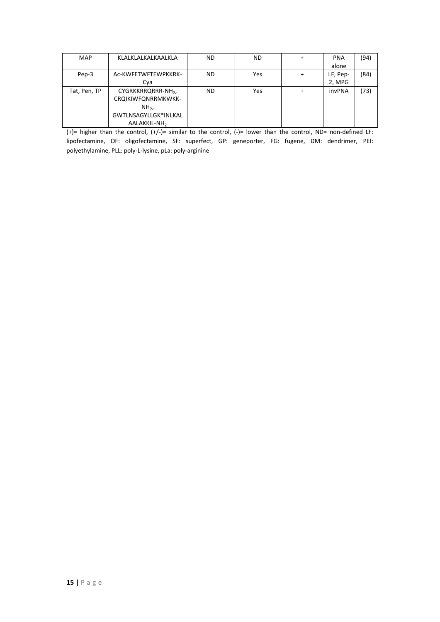| <b>MAP</b>   | KLALKLALKALKAALKLA           | ND.       | ND. | $\ddot{}$ | <b>PNA</b> | (94) |
|--------------|------------------------------|-----------|-----|-----------|------------|------|
|              |                              |           |     |           | alone      |      |
| Pep-3        | Ac-KWFETWFTEWPKKRK-          | ND.       | Yes | $\ddot{}$ | LF, Pep-   | (84) |
|              | Cya                          |           |     |           | 2, MPG     |      |
| Tat, Pen, TP | CYGRKKRRQRRR-NH <sub>2</sub> | <b>ND</b> | Yes | +         | invPNA     | (73) |
|              | CRQIKIWFQNRRMKWKK-           |           |     |           |            |      |
|              | $NH2$ ,                      |           |     |           |            |      |
|              | GWTLNSAGYLLGK*INLKAL         |           |     |           |            |      |
|              | AALAKKIL-NH <sub>2</sub>     |           |     |           |            |      |

(+)= higher than the control, (+/-)= similar to the control, (-)= lower than the control, ND= non-defined LF: lipofectamine, OF: oligofectamine, SF: superfect, GP: geneporter, FG: fugene, DM: dendrimer, PEI: polyethylamine, PLL: poly-L-lysine, pLa: poly-arginine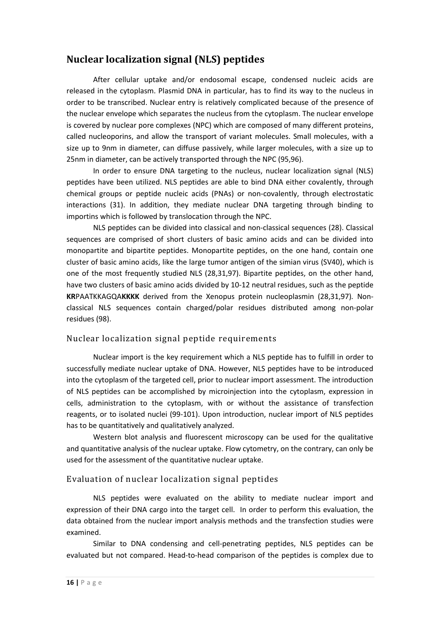## **Nuclear localization signal (NLS) peptides**

After cellular uptake and/or endosomal escape, condensed nucleic acids are released in the cytoplasm. Plasmid DNA in particular, has to find its way to the nucleus in order to be transcribed. Nuclear entry is relatively complicated because of the presence of the nuclear envelope which separates the nucleus from the cytoplasm. The nuclear envelope is covered by nuclear pore complexes (NPC) which are composed of many different proteins, called nucleoporins, and allow the transport of variant molecules. Small molecules, with a size up to 9nm in diameter, can diffuse passively, while larger molecules, with a size up to 25nm in diameter, can be actively transported through the NPC (95,96).

In order to ensure DNA targeting to the nucleus, nuclear localization signal (NLS) peptides have been utilized. NLS peptides are able to bind DNA either covalently, through chemical groups or peptide nucleic acids (PNAs) or non-covalently, through electrostatic interactions (31). In addition, they mediate nuclear DNA targeting through binding to importins which is followed by translocation through the NPC.

NLS peptides can be divided into classical and non-classical sequences (28). Classical sequences are comprised of short clusters of basic amino acids and can be divided into monopartite and bipartite peptides. Monopartite peptides, on the one hand, contain one cluster of basic amino acids, like the large tumor antigen of the simian virus (SV40), which is one of the most frequently studied NLS (28,31,97). Bipartite peptides, on the other hand, have two clusters of basic amino acids divided by 10-12 neutral residues, such as the peptide **KR**PAATKKAGQA**KKKK** derived from the Xenopus protein nucleoplasmin (28,31,97)*.* Nonclassical NLS sequences contain charged/polar residues distributed among non-polar residues (98).

### Nuclear localization signal peptide requirements

Nuclear import is the key requirement which a NLS peptide has to fulfill in order to successfully mediate nuclear uptake of DNA. However, NLS peptides have to be introduced into the cytoplasm of the targeted cell, prior to nuclear import assessment. The introduction of NLS peptides can be accomplished by microinjection into the cytoplasm, expression in cells, administration to the cytoplasm, with or without the assistance of transfection reagents, or to isolated nuclei (99-101). Upon introduction, nuclear import of NLS peptides has to be quantitatively and qualitatively analyzed.

Western blot analysis and fluorescent microscopy can be used for the qualitative and quantitative analysis of the nuclear uptake. Flow cytometry, on the contrary, can only be used for the assessment of the quantitative nuclear uptake.

### Evaluation of nuclear localization signal peptides

NLS peptides were evaluated on the ability to mediate nuclear import and expression of their DNA cargo into the target cell. In order to perform this evaluation, the data obtained from the nuclear import analysis methods and the transfection studies were examined.

Similar to DNA condensing and cell-penetrating peptides, NLS peptides can be evaluated but not compared. Head-to-head comparison of the peptides is complex due to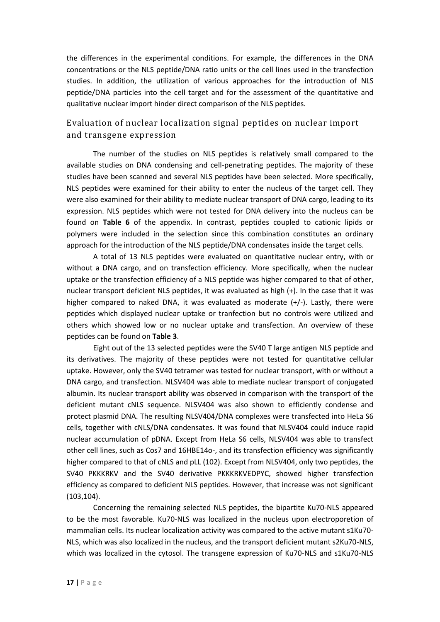the differences in the experimental conditions. For example, the differences in the DNA concentrations or the NLS peptide/DNA ratio units or the cell lines used in the transfection studies. In addition, the utilization of various approaches for the introduction of NLS peptide/DNA particles into the cell target and for the assessment of the quantitative and qualitative nuclear import hinder direct comparison of the NLS peptides.

## Evaluation of nuclear localization signal peptides on nuclear import and transgene expression

The number of the studies on NLS peptides is relatively small compared to the available studies on DNA condensing and cell-penetrating peptides. The majority of these studies have been scanned and several NLS peptides have been selected. More specifically, NLS peptides were examined for their ability to enter the nucleus of the target cell. They were also examined for their ability to mediate nuclear transport of DNA cargo, leading to its expression. NLS peptides which were not tested for DNA delivery into the nucleus can be found on **Table 6** of the appendix. In contrast, peptides coupled to cationic lipids or polymers were included in the selection since this combination constitutes an ordinary approach for the introduction of the NLS peptide/DNA condensates inside the target cells.

A total of 13 NLS peptides were evaluated on quantitative nuclear entry, with or without a DNA cargo, and on transfection efficiency. More specifically, when the nuclear uptake or the transfection efficiency of a NLS peptide was higher compared to that of other, nuclear transport deficient NLS peptides, it was evaluated as high (+). In the case that it was higher compared to naked DNA, it was evaluated as moderate (+/-). Lastly, there were peptides which displayed nuclear uptake or tranfection but no controls were utilized and others which showed low or no nuclear uptake and transfection. An overview of these peptides can be found on **Table 3**.

Eight out of the 13 selected peptides were the SV40 T large antigen NLS peptide and its derivatives. The majority of these peptides were not tested for quantitative cellular uptake. However, only the SV40 tetramer was tested for nuclear transport, with or without a DNA cargo, and transfection. NLSV404 was able to mediate nuclear transport of conjugated albumin. Its nuclear transport ability was observed in comparison with the transport of the deficient mutant cNLS sequence. NLSV404 was also shown to efficiently condense and protect plasmid DNA. The resulting NLSV404/DNA complexes were transfected into HeLa S6 cells, together with cNLS/DNA condensates. It was found that NLSV404 could induce rapid nuclear accumulation of pDNA. Except from HeLa S6 cells, NLSV404 was able to transfect other cell lines, such as Cos7 and 16HBE14o-, and its transfection efficiency was significantly higher compared to that of cNLS and pLL (102). Except from NLSV404, only two peptides, the SV40 PKKKRKV and the SV40 derivative PKKKRKVEDPYC, showed higher transfection efficiency as compared to deficient NLS peptides. However, that increase was not significant (103,104).

Concerning the remaining selected NLS peptides, the bipartite Ku70-NLS appeared to be the most favorable. Ku70-NLS was localized in the nucleus upon electroporetion of mammalian cells. Its nuclear localization activity was compared to the active mutant s1Ku70- NLS, which was also localized in the nucleus, and the transport deficient mutant s2Ku70-NLS, which was localized in the cytosol. The transgene expression of Ku70-NLS and s1Ku70-NLS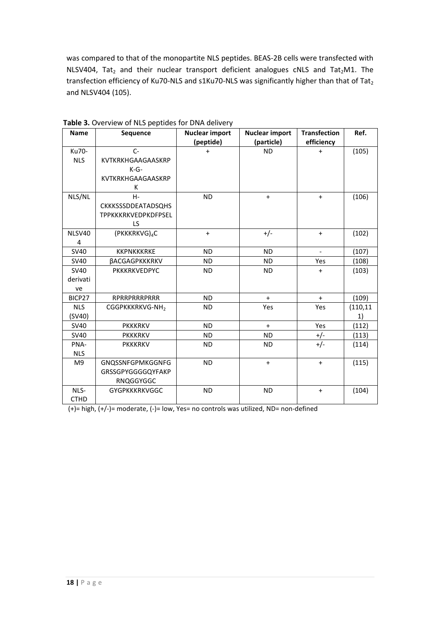was compared to that of the monopartite NLS peptides. BEAS-2B cells were transfected with NLSV404, Tat<sub>2</sub> and their nuclear transport deficient analogues cNLS and Tat<sub>2</sub>M1. The transfection efficiency of Ku70-NLS and s1Ku70-NLS was significantly higher than that of Tat2 and NLSV404 (105).

| <b>Name</b> | <b>Sequence</b>            | <b>Nuclear import</b><br>(peptide) | <b>Nuclear import</b><br>(particle) | <b>Transfection</b><br>efficiency | Ref.      |
|-------------|----------------------------|------------------------------------|-------------------------------------|-----------------------------------|-----------|
| Ku70-       | $C-$                       | $+$                                | <b>ND</b>                           | $\ddot{}$                         | (105)     |
| <b>NLS</b>  | KVTKRKHGAAGAASKRP          |                                    |                                     |                                   |           |
|             | $K-G-$                     |                                    |                                     |                                   |           |
|             | KVTKRKHGAAGAASKRP          |                                    |                                     |                                   |           |
|             | К                          |                                    |                                     |                                   |           |
| NLS/NL      | $H -$                      | <b>ND</b>                          | $\ddot{}$                           | $+$                               | (106)     |
|             | <b>CKKKSSSDDEATADSQHS</b>  |                                    |                                     |                                   |           |
|             | <b>TPPKKKRKVEDPKDFPSEL</b> |                                    |                                     |                                   |           |
|             | <b>LS</b>                  |                                    |                                     |                                   |           |
| NLSV40      | (PKKKRKVG) <sub>4</sub> C  | $\ddot{}$                          | $+/-$                               | $\ddot{}$                         | (102)     |
| 4           |                            |                                    |                                     |                                   |           |
| <b>SV40</b> | <b>KKPNKKKRKE</b>          | <b>ND</b>                          | <b>ND</b>                           | $\overline{a}$                    | (107)     |
| <b>SV40</b> | <b>BACGAGPKKKRKV</b>       | <b>ND</b>                          | <b>ND</b>                           | Yes                               | (108)     |
| <b>SV40</b> | PKKKRKVEDPYC               | <b>ND</b>                          | <b>ND</b>                           | $\ddot{}$                         | (103)     |
| derivati    |                            |                                    |                                     |                                   |           |
| ve          |                            |                                    |                                     |                                   |           |
| BICP27      | RPRRPRRRPRRR               | <b>ND</b>                          | $\ddot{}$                           | $\ddot{}$                         | (109)     |
| <b>NLS</b>  | CGGPKKKRKVG-NH2            | <b>ND</b>                          | Yes                                 | Yes                               | (110, 11) |
| (SV40)      |                            |                                    |                                     |                                   | 1)        |
| <b>SV40</b> | <b>PKKKRKV</b>             | <b>ND</b>                          | $+$                                 | Yes                               | (112)     |
| <b>SV40</b> | <b>PKKKRKV</b>             | <b>ND</b>                          | <b>ND</b>                           | $+/-$                             | (113)     |
| PNA-        | <b>PKKKRKV</b>             | <b>ND</b>                          | <b>ND</b>                           | $+/-$                             | (114)     |
| <b>NLS</b>  |                            |                                    |                                     |                                   |           |
| M9          | <b>GNQSSNFGPMKGGNFG</b>    | <b>ND</b>                          | $+$                                 | $\ddot{}$                         | (115)     |
|             | GRSSGPYGGGGQYFAKP          |                                    |                                     |                                   |           |
|             | RNQGGYGGC                  |                                    |                                     |                                   |           |
| NLS-        | <b>GYGPKKKRKVGGC</b>       | <b>ND</b>                          | <b>ND</b>                           | $+$                               | (104)     |
| <b>CTHD</b> |                            |                                    |                                     |                                   |           |

**Table 3.** Overview of NLS peptides for DNA delivery

 $(+)=$  high,  $(+/-)=$  moderate,  $(-)=$  low, Yes= no controls was utilized, ND= non-defined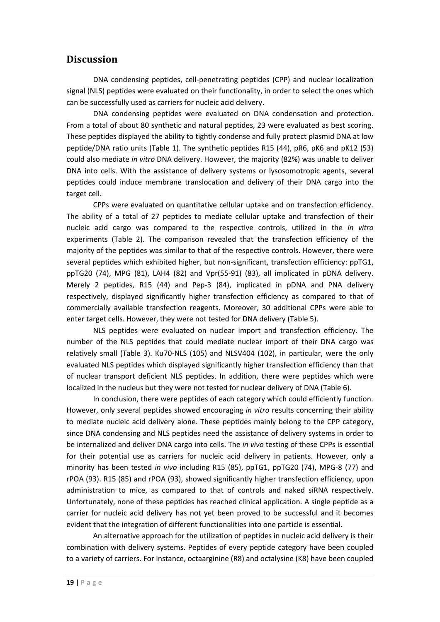## **Discussion**

DNA condensing peptides, cell-penetrating peptides (CPP) and nuclear localization signal (NLS) peptides were evaluated on their functionality, in order to select the ones which can be successfully used as carriers for nucleic acid delivery.

DNA condensing peptides were evaluated on DNA condensation and protection. From a total of about 80 synthetic and natural peptides, 23 were evaluated as best scoring. These peptides displayed the ability to tightly condense and fully protect plasmid DNA at low peptide/DNA ratio units (Table 1). The synthetic peptides R15 (44), pR6, pK6 and pK12 (53) could also mediate *in vitro* DNA delivery. However, the majority (82%) was unable to deliver DNA into cells. With the assistance of delivery systems or lysosomotropic agents, several peptides could induce membrane translocation and delivery of their DNA cargo into the target cell.

CPPs were evaluated on quantitative cellular uptake and on transfection efficiency. The ability of a total of 27 peptides to mediate cellular uptake and transfection of their nucleic acid cargo was compared to the respective controls, utilized in the *in vitro* experiments (Table 2). The comparison revealed that the transfection efficiency of the majority of the peptides was similar to that of the respective controls. However, there were several peptides which exhibited higher, but non-significant, transfection efficiency: ppTG1, ppTG20 (74), MPG (81), LAH4 (82) and Vpr(55-91) (83), all implicated in pDNA delivery. Merely 2 peptides, R15 (44) and Pep-3 (84), implicated in pDNA and PNA delivery respectively, displayed significantly higher transfection efficiency as compared to that of commercially available transfection reagents. Moreover, 30 additional CPPs were able to enter target cells. However, they were not tested for DNA delivery (Table 5).

NLS peptides were evaluated on nuclear import and transfection efficiency. The number of the NLS peptides that could mediate nuclear import of their DNA cargo was relatively small (Table 3). Ku70-NLS (105) and NLSV404 (102), in particular, were the only evaluated NLS peptides which displayed significantly higher transfection efficiency than that of nuclear transport deficient NLS peptides. In addition, there were peptides which were localized in the nucleus but they were not tested for nuclear delivery of DNA (Table 6).

In conclusion, there were peptides of each category which could efficiently function. However, only several peptides showed encouraging *in vitro* results concerning their ability to mediate nucleic acid delivery alone. These peptides mainly belong to the CPP category, since DNA condensing and NLS peptides need the assistance of delivery systems in order to be internalized and deliver DNA cargo into cells. The *in vivo* testing of these CPPs is essential for their potential use as carriers for nucleic acid delivery in patients. However, only a minority has been tested *in vivo* including R15 (85), ppTG1, ppTG20 (74), MPG-8 (77) and rPOA (93). R15 (85) and rPOA (93), showed significantly higher transfection efficiency, upon administration to mice, as compared to that of controls and naked siRNA respectively. Unfortunately, none of these peptides has reached clinical application. A single peptide as a carrier for nucleic acid delivery has not yet been proved to be successful and it becomes evident that the integration of different functionalities into one particle is essential.

An alternative approach for the utilization of peptides in nucleic acid delivery is their combination with delivery systems. Peptides of every peptide category have been coupled to a variety of carriers. For instance, octaarginine (R8) and octalysine (K8) have been coupled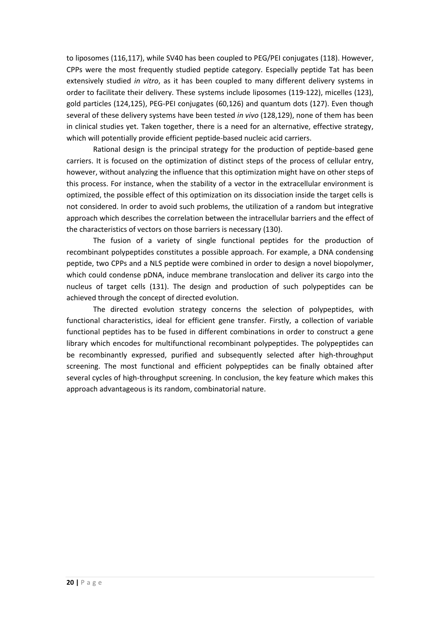to liposomes (116,117), while SV40 has been coupled to PEG/PEI conjugates (118). However, CPPs were the most frequently studied peptide category. Especially peptide Tat has been extensively studied *in vitro*, as it has been coupled to many different delivery systems in order to facilitate their delivery. These systems include liposomes (119-122), micelles (123), gold particles (124,125), PEG-PEI conjugates (60,126) and quantum dots (127). Even though several of these delivery systems have been tested *in vivo* (128,129), none of them has been in clinical studies yet. Taken together, there is a need for an alternative, effective strategy, which will potentially provide efficient peptide-based nucleic acid carriers.

Rational design is the principal strategy for the production of peptide-based gene carriers. It is focused on the optimization of distinct steps of the process of cellular entry, however, without analyzing the influence that this optimization might have on other steps of this process. For instance, when the stability of a vector in the extracellular environment is optimized, the possible effect of this optimization on its dissociation inside the target cells is not considered. In order to avoid such problems, the utilization of a random but integrative approach which describes the correlation between the intracellular barriers and the effect of the characteristics of vectors on those barriers is necessary (130).

The fusion of a variety of single functional peptides for the production of recombinant polypeptides constitutes a possible approach. For example, a DNA condensing peptide, two CPPs and a NLS peptide were combined in order to design a novel biopolymer, which could condense pDNA, induce membrane translocation and deliver its cargo into the nucleus of target cells (131). The design and production of such polypeptides can be achieved through the concept of directed evolution.

The directed evolution strategy concerns the selection of polypeptides, with functional characteristics, ideal for efficient gene transfer. Firstly, a collection of variable functional peptides has to be fused in different combinations in order to construct a gene library which encodes for multifunctional recombinant polypeptides. The polypeptides can be recombinantly expressed, purified and subsequently selected after high-throughput screening. The most functional and efficient polypeptides can be finally obtained after several cycles of high-throughput screening. In conclusion, the key feature which makes this approach advantageous is its random, combinatorial nature.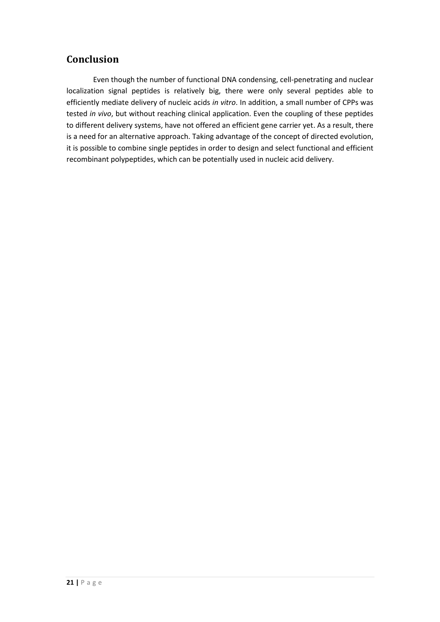## **Conclusion**

Even though the number of functional DNA condensing, cell-penetrating and nuclear localization signal peptides is relatively big, there were only several peptides able to efficiently mediate delivery of nucleic acids *in vitro*. In addition, a small number of CPPs was tested *in vivo*, but without reaching clinical application. Even the coupling of these peptides to different delivery systems, have not offered an efficient gene carrier yet. As a result, there is a need for an alternative approach. Taking advantage of the concept of directed evolution, it is possible to combine single peptides in order to design and select functional and efficient recombinant polypeptides, which can be potentially used in nucleic acid delivery.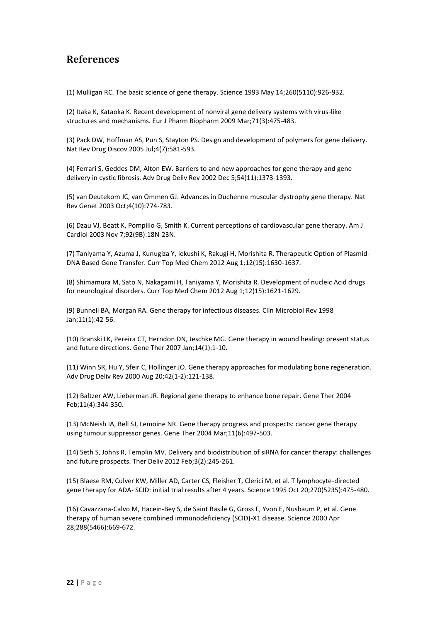## **References**

(1) Mulligan RC. The basic science of gene therapy. Science 1993 May 14;260(5110):926-932.

(2) Itaka K, Kataoka K. Recent development of nonviral gene delivery systems with virus-like structures and mechanisms. Eur J Pharm Biopharm 2009 Mar;71(3):475-483.

(3) Pack DW, Hoffman AS, Pun S, Stayton PS. Design and development of polymers for gene delivery. Nat Rev Drug Discov 2005 Jul;4(7):581-593.

(4) Ferrari S, Geddes DM, Alton EW. Barriers to and new approaches for gene therapy and gene delivery in cystic fibrosis. Adv Drug Deliv Rev 2002 Dec 5;54(11):1373-1393.

(5) van Deutekom JC, van Ommen GJ. Advances in Duchenne muscular dystrophy gene therapy. Nat Rev Genet 2003 Oct;4(10):774-783.

(6) Dzau VJ, Beatt K, Pompilio G, Smith K. Current perceptions of cardiovascular gene therapy. Am J Cardiol 2003 Nov 7;92(9B):18N-23N.

(7) Taniyama Y, Azuma J, Kunugiza Y, Iekushi K, Rakugi H, Morishita R. Therapeutic Option of Plasmid-DNA Based Gene Transfer. Curr Top Med Chem 2012 Aug 1;12(15):1630-1637.

(8) Shimamura M, Sato N, Nakagami H, Taniyama Y, Morishita R. Development of nucleic Acid drugs for neurological disorders. Curr Top Med Chem 2012 Aug 1;12(15):1621-1629.

(9) Bunnell BA, Morgan RA. Gene therapy for infectious diseases. Clin Microbiol Rev 1998 Jan;11(1):42-56.

(10) Branski LK, Pereira CT, Herndon DN, Jeschke MG. Gene therapy in wound healing: present status and future directions. Gene Ther 2007 Jan;14(1):1-10.

(11) Winn SR, Hu Y, Sfeir C, Hollinger JO. Gene therapy approaches for modulating bone regeneration. Adv Drug Deliv Rev 2000 Aug 20;42(1-2):121-138.

(12) Baltzer AW, Lieberman JR. Regional gene therapy to enhance bone repair. Gene Ther 2004 Feb;11(4):344-350.

(13) McNeish IA, Bell SJ, Lemoine NR. Gene therapy progress and prospects: cancer gene therapy using tumour suppressor genes. Gene Ther 2004 Mar;11(6):497-503.

(14) Seth S, Johns R, Templin MV. Delivery and biodistribution of siRNA for cancer therapy: challenges and future prospects. Ther Deliv 2012 Feb;3(2):245-261.

(15) Blaese RM, Culver KW, Miller AD, Carter CS, Fleisher T, Clerici M, et al. T lymphocyte-directed gene therapy for ADA- SCID: initial trial results after 4 years. Science 1995 Oct 20;270(5235):475-480.

(16) Cavazzana-Calvo M, Hacein-Bey S, de Saint Basile G, Gross F, Yvon E, Nusbaum P, et al. Gene therapy of human severe combined immunodeficiency (SCID)-X1 disease. Science 2000 Apr 28;288(5466):669-672.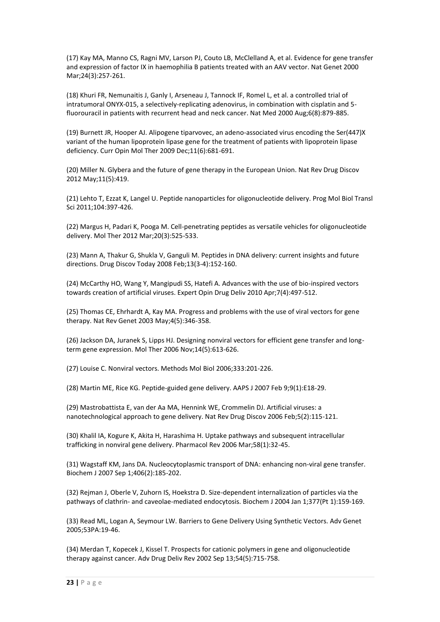(17) Kay MA, Manno CS, Ragni MV, Larson PJ, Couto LB, McClelland A, et al. Evidence for gene transfer and expression of factor IX in haemophilia B patients treated with an AAV vector. Nat Genet 2000 Mar;24(3):257-261.

(18) Khuri FR, Nemunaitis J, Ganly I, Arseneau J, Tannock IF, Romel L, et al. a controlled trial of intratumoral ONYX-015, a selectively-replicating adenovirus, in combination with cisplatin and 5 fluorouracil in patients with recurrent head and neck cancer. Nat Med 2000 Aug;6(8):879-885.

(19) Burnett JR, Hooper AJ. Alipogene tiparvovec, an adeno-associated virus encoding the Ser(447)X variant of the human lipoprotein lipase gene for the treatment of patients with lipoprotein lipase deficiency. Curr Opin Mol Ther 2009 Dec;11(6):681-691.

(20) Miller N. Glybera and the future of gene therapy in the European Union. Nat Rev Drug Discov 2012 May;11(5):419.

(21) Lehto T, Ezzat K, Langel U. Peptide nanoparticles for oligonucleotide delivery. Prog Mol Biol Transl Sci 2011;104:397-426.

(22) Margus H, Padari K, Pooga M. Cell-penetrating peptides as versatile vehicles for oligonucleotide delivery. Mol Ther 2012 Mar;20(3):525-533.

(23) Mann A, Thakur G, Shukla V, Ganguli M. Peptides in DNA delivery: current insights and future directions. Drug Discov Today 2008 Feb;13(3-4):152-160.

(24) McCarthy HO, Wang Y, Mangipudi SS, Hatefi A. Advances with the use of bio-inspired vectors towards creation of artificial viruses. Expert Opin Drug Deliv 2010 Apr;7(4):497-512.

(25) Thomas CE, Ehrhardt A, Kay MA. Progress and problems with the use of viral vectors for gene therapy. Nat Rev Genet 2003 May;4(5):346-358.

(26) Jackson DA, Juranek S, Lipps HJ. Designing nonviral vectors for efficient gene transfer and longterm gene expression. Mol Ther 2006 Nov;14(5):613-626.

(27) Louise C. Nonviral vectors. Methods Mol Biol 2006;333:201-226.

(28) Martin ME, Rice KG. Peptide-guided gene delivery. AAPS J 2007 Feb 9;9(1):E18-29.

(29) Mastrobattista E, van der Aa MA, Hennink WE, Crommelin DJ. Artificial viruses: a nanotechnological approach to gene delivery. Nat Rev Drug Discov 2006 Feb;5(2):115-121.

(30) Khalil IA, Kogure K, Akita H, Harashima H. Uptake pathways and subsequent intracellular trafficking in nonviral gene delivery. Pharmacol Rev 2006 Mar;58(1):32-45.

(31) Wagstaff KM, Jans DA. Nucleocytoplasmic transport of DNA: enhancing non-viral gene transfer. Biochem J 2007 Sep 1;406(2):185-202.

(32) Rejman J, Oberle V, Zuhorn IS, Hoekstra D. Size-dependent internalization of particles via the pathways of clathrin- and caveolae-mediated endocytosis. Biochem J 2004 Jan 1;377(Pt 1):159-169.

(33) Read ML, Logan A, Seymour LW. Barriers to Gene Delivery Using Synthetic Vectors. Adv Genet 2005;53PA:19-46.

(34) Merdan T, Kopecek J, Kissel T. Prospects for cationic polymers in gene and oligonucleotide therapy against cancer. Adv Drug Deliv Rev 2002 Sep 13;54(5):715-758.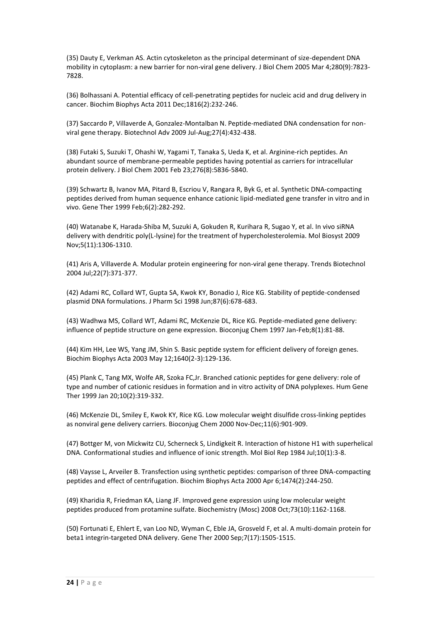(35) Dauty E, Verkman AS. Actin cytoskeleton as the principal determinant of size-dependent DNA mobility in cytoplasm: a new barrier for non-viral gene delivery. J Biol Chem 2005 Mar 4;280(9):7823- 7828.

(36) Bolhassani A. Potential efficacy of cell-penetrating peptides for nucleic acid and drug delivery in cancer. Biochim Biophys Acta 2011 Dec;1816(2):232-246.

(37) Saccardo P, Villaverde A, Gonzalez-Montalban N. Peptide-mediated DNA condensation for nonviral gene therapy. Biotechnol Adv 2009 Jul-Aug;27(4):432-438.

(38) Futaki S, Suzuki T, Ohashi W, Yagami T, Tanaka S, Ueda K, et al. Arginine-rich peptides. An abundant source of membrane-permeable peptides having potential as carriers for intracellular protein delivery. J Biol Chem 2001 Feb 23;276(8):5836-5840.

(39) Schwartz B, Ivanov MA, Pitard B, Escriou V, Rangara R, Byk G, et al. Synthetic DNA-compacting peptides derived from human sequence enhance cationic lipid-mediated gene transfer in vitro and in vivo. Gene Ther 1999 Feb;6(2):282-292.

(40) Watanabe K, Harada-Shiba M, Suzuki A, Gokuden R, Kurihara R, Sugao Y, et al. In vivo siRNA delivery with dendritic poly(L-lysine) for the treatment of hypercholesterolemia. Mol Biosyst 2009 Nov;5(11):1306-1310.

(41) Aris A, Villaverde A. Modular protein engineering for non-viral gene therapy. Trends Biotechnol 2004 Jul;22(7):371-377.

(42) Adami RC, Collard WT, Gupta SA, Kwok KY, Bonadio J, Rice KG. Stability of peptide-condensed plasmid DNA formulations. J Pharm Sci 1998 Jun;87(6):678-683.

(43) Wadhwa MS, Collard WT, Adami RC, McKenzie DL, Rice KG. Peptide-mediated gene delivery: influence of peptide structure on gene expression. Bioconjug Chem 1997 Jan-Feb;8(1):81-88.

(44) Kim HH, Lee WS, Yang JM, Shin S. Basic peptide system for efficient delivery of foreign genes. Biochim Biophys Acta 2003 May 12;1640(2-3):129-136.

(45) Plank C, Tang MX, Wolfe AR, Szoka FC,Jr. Branched cationic peptides for gene delivery: role of type and number of cationic residues in formation and in vitro activity of DNA polyplexes. Hum Gene Ther 1999 Jan 20;10(2):319-332.

(46) McKenzie DL, Smiley E, Kwok KY, Rice KG. Low molecular weight disulfide cross-linking peptides as nonviral gene delivery carriers. Bioconjug Chem 2000 Nov-Dec;11(6):901-909.

(47) Bottger M, von Mickwitz CU, Scherneck S, Lindigkeit R. Interaction of histone H1 with superhelical DNA. Conformational studies and influence of ionic strength. Mol Biol Rep 1984 Jul;10(1):3-8.

(48) Vaysse L, Arveiler B. Transfection using synthetic peptides: comparison of three DNA-compacting peptides and effect of centrifugation. Biochim Biophys Acta 2000 Apr 6;1474(2):244-250.

(49) Kharidia R, Friedman KA, Liang JF. Improved gene expression using low molecular weight peptides produced from protamine sulfate. Biochemistry (Mosc) 2008 Oct;73(10):1162-1168.

(50) Fortunati E, Ehlert E, van Loo ND, Wyman C, Eble JA, Grosveld F, et al. A multi-domain protein for beta1 integrin-targeted DNA delivery. Gene Ther 2000 Sep;7(17):1505-1515.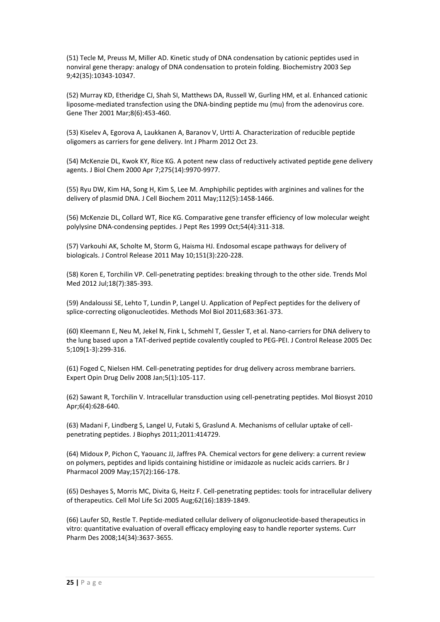(51) Tecle M, Preuss M, Miller AD. Kinetic study of DNA condensation by cationic peptides used in nonviral gene therapy: analogy of DNA condensation to protein folding. Biochemistry 2003 Sep 9;42(35):10343-10347.

(52) Murray KD, Etheridge CJ, Shah SI, Matthews DA, Russell W, Gurling HM, et al. Enhanced cationic liposome-mediated transfection using the DNA-binding peptide mu (mu) from the adenovirus core. Gene Ther 2001 Mar;8(6):453-460.

(53) Kiselev A, Egorova A, Laukkanen A, Baranov V, Urtti A. Characterization of reducible peptide oligomers as carriers for gene delivery. Int J Pharm 2012 Oct 23.

(54) McKenzie DL, Kwok KY, Rice KG. A potent new class of reductively activated peptide gene delivery agents. J Biol Chem 2000 Apr 7;275(14):9970-9977.

(55) Ryu DW, Kim HA, Song H, Kim S, Lee M. Amphiphilic peptides with arginines and valines for the delivery of plasmid DNA. J Cell Biochem 2011 May;112(5):1458-1466.

(56) McKenzie DL, Collard WT, Rice KG. Comparative gene transfer efficiency of low molecular weight polylysine DNA-condensing peptides. J Pept Res 1999 Oct;54(4):311-318.

(57) Varkouhi AK, Scholte M, Storm G, Haisma HJ. Endosomal escape pathways for delivery of biologicals. J Control Release 2011 May 10;151(3):220-228.

(58) Koren E, Torchilin VP. Cell-penetrating peptides: breaking through to the other side. Trends Mol Med 2012 Jul;18(7):385-393.

(59) Andaloussi SE, Lehto T, Lundin P, Langel U. Application of PepFect peptides for the delivery of splice-correcting oligonucleotides. Methods Mol Biol 2011;683:361-373.

(60) Kleemann E, Neu M, Jekel N, Fink L, Schmehl T, Gessler T, et al. Nano-carriers for DNA delivery to the lung based upon a TAT-derived peptide covalently coupled to PEG-PEI. J Control Release 2005 Dec 5;109(1-3):299-316.

(61) Foged C, Nielsen HM. Cell-penetrating peptides for drug delivery across membrane barriers. Expert Opin Drug Deliv 2008 Jan;5(1):105-117.

(62) Sawant R, Torchilin V. Intracellular transduction using cell-penetrating peptides. Mol Biosyst 2010 Apr;6(4):628-640.

(63) Madani F, Lindberg S, Langel U, Futaki S, Graslund A. Mechanisms of cellular uptake of cellpenetrating peptides. J Biophys 2011;2011:414729.

(64) Midoux P, Pichon C, Yaouanc JJ, Jaffres PA. Chemical vectors for gene delivery: a current review on polymers, peptides and lipids containing histidine or imidazole as nucleic acids carriers. Br J Pharmacol 2009 May;157(2):166-178.

(65) Deshayes S, Morris MC, Divita G, Heitz F. Cell-penetrating peptides: tools for intracellular delivery of therapeutics. Cell Mol Life Sci 2005 Aug;62(16):1839-1849.

(66) Laufer SD, Restle T. Peptide-mediated cellular delivery of oligonucleotide-based therapeutics in vitro: quantitative evaluation of overall efficacy employing easy to handle reporter systems. Curr Pharm Des 2008;14(34):3637-3655.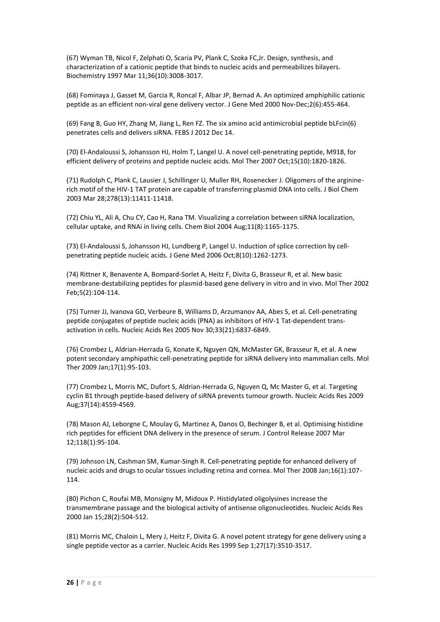(67) Wyman TB, Nicol F, Zelphati O, Scaria PV, Plank C, Szoka FC,Jr. Design, synthesis, and characterization of a cationic peptide that binds to nucleic acids and permeabilizes bilayers. Biochemistry 1997 Mar 11;36(10):3008-3017.

(68) Fominaya J, Gasset M, Garcia R, Roncal F, Albar JP, Bernad A. An optimized amphiphilic cationic peptide as an efficient non-viral gene delivery vector. J Gene Med 2000 Nov-Dec;2(6):455-464.

(69) Fang B, Guo HY, Zhang M, Jiang L, Ren FZ. The six amino acid antimicrobial peptide bLFcin(6) penetrates cells and delivers siRNA. FEBS J 2012 Dec 14.

(70) El-Andaloussi S, Johansson HJ, Holm T, Langel U. A novel cell-penetrating peptide, M918, for efficient delivery of proteins and peptide nucleic acids. Mol Ther 2007 Oct;15(10):1820-1826.

(71) Rudolph C, Plank C, Lausier J, Schillinger U, Muller RH, Rosenecker J. Oligomers of the argininerich motif of the HIV-1 TAT protein are capable of transferring plasmid DNA into cells. J Biol Chem 2003 Mar 28;278(13):11411-11418.

(72) Chiu YL, Ali A, Chu CY, Cao H, Rana TM. Visualizing a correlation between siRNA localization, cellular uptake, and RNAi in living cells. Chem Biol 2004 Aug;11(8):1165-1175.

(73) El-Andaloussi S, Johansson HJ, Lundberg P, Langel U. Induction of splice correction by cellpenetrating peptide nucleic acids. J Gene Med 2006 Oct;8(10):1262-1273.

(74) Rittner K, Benavente A, Bompard-Sorlet A, Heitz F, Divita G, Brasseur R, et al. New basic membrane-destabilizing peptides for plasmid-based gene delivery in vitro and in vivo. Mol Ther 2002 Feb;5(2):104-114.

(75) Turner JJ, Ivanova GD, Verbeure B, Williams D, Arzumanov AA, Abes S, et al. Cell-penetrating peptide conjugates of peptide nucleic acids (PNA) as inhibitors of HIV-1 Tat-dependent transactivation in cells. Nucleic Acids Res 2005 Nov 30;33(21):6837-6849.

(76) Crombez L, Aldrian-Herrada G, Konate K, Nguyen QN, McMaster GK, Brasseur R, et al. A new potent secondary amphipathic cell-penetrating peptide for siRNA delivery into mammalian cells. Mol Ther 2009 Jan;17(1):95-103.

(77) Crombez L, Morris MC, Dufort S, Aldrian-Herrada G, Nguyen Q, Mc Master G, et al. Targeting cyclin B1 through peptide-based delivery of siRNA prevents tumour growth. Nucleic Acids Res 2009 Aug;37(14):4559-4569.

(78) Mason AJ, Leborgne C, Moulay G, Martinez A, Danos O, Bechinger B, et al. Optimising histidine rich peptides for efficient DNA delivery in the presence of serum. J Control Release 2007 Mar 12;118(1):95-104.

(79) Johnson LN, Cashman SM, Kumar-Singh R. Cell-penetrating peptide for enhanced delivery of nucleic acids and drugs to ocular tissues including retina and cornea. Mol Ther 2008 Jan;16(1):107- 114.

(80) Pichon C, Roufai MB, Monsigny M, Midoux P. Histidylated oligolysines increase the transmembrane passage and the biological activity of antisense oligonucleotides. Nucleic Acids Res 2000 Jan 15;28(2):504-512.

(81) Morris MC, Chaloin L, Mery J, Heitz F, Divita G. A novel potent strategy for gene delivery using a single peptide vector as a carrier. Nucleic Acids Res 1999 Sep 1;27(17):3510-3517.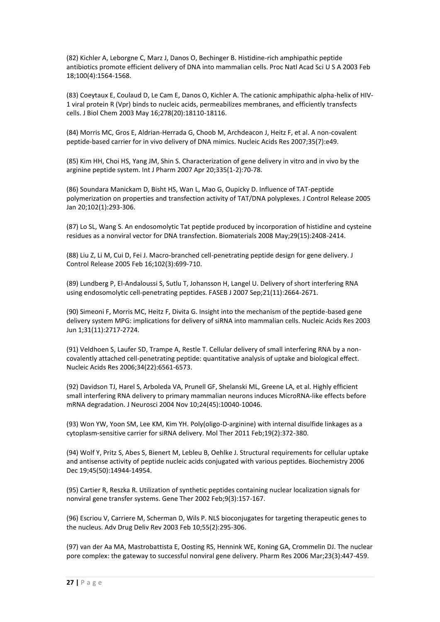(82) Kichler A, Leborgne C, Marz J, Danos O, Bechinger B. Histidine-rich amphipathic peptide antibiotics promote efficient delivery of DNA into mammalian cells. Proc Natl Acad Sci U S A 2003 Feb 18;100(4):1564-1568.

(83) Coeytaux E, Coulaud D, Le Cam E, Danos O, Kichler A. The cationic amphipathic alpha-helix of HIV-1 viral protein R (Vpr) binds to nucleic acids, permeabilizes membranes, and efficiently transfects cells. J Biol Chem 2003 May 16;278(20):18110-18116.

(84) Morris MC, Gros E, Aldrian-Herrada G, Choob M, Archdeacon J, Heitz F, et al. A non-covalent peptide-based carrier for in vivo delivery of DNA mimics. Nucleic Acids Res 2007;35(7):e49.

(85) Kim HH, Choi HS, Yang JM, Shin S. Characterization of gene delivery in vitro and in vivo by the arginine peptide system. Int J Pharm 2007 Apr 20;335(1-2):70-78.

(86) Soundara Manickam D, Bisht HS, Wan L, Mao G, Oupicky D. Influence of TAT-peptide polymerization on properties and transfection activity of TAT/DNA polyplexes. J Control Release 2005 Jan 20;102(1):293-306.

(87) Lo SL, Wang S. An endosomolytic Tat peptide produced by incorporation of histidine and cysteine residues as a nonviral vector for DNA transfection. Biomaterials 2008 May;29(15):2408-2414.

(88) Liu Z, Li M, Cui D, Fei J. Macro-branched cell-penetrating peptide design for gene delivery. J Control Release 2005 Feb 16;102(3):699-710.

(89) Lundberg P, El-Andaloussi S, Sutlu T, Johansson H, Langel U. Delivery of short interfering RNA using endosomolytic cell-penetrating peptides. FASEB J 2007 Sep;21(11):2664-2671.

(90) Simeoni F, Morris MC, Heitz F, Divita G. Insight into the mechanism of the peptide-based gene delivery system MPG: implications for delivery of siRNA into mammalian cells. Nucleic Acids Res 2003 Jun 1;31(11):2717-2724.

(91) Veldhoen S, Laufer SD, Trampe A, Restle T. Cellular delivery of small interfering RNA by a noncovalently attached cell-penetrating peptide: quantitative analysis of uptake and biological effect. Nucleic Acids Res 2006;34(22):6561-6573.

(92) Davidson TJ, Harel S, Arboleda VA, Prunell GF, Shelanski ML, Greene LA, et al. Highly efficient small interfering RNA delivery to primary mammalian neurons induces MicroRNA-like effects before mRNA degradation. J Neurosci 2004 Nov 10;24(45):10040-10046.

(93) Won YW, Yoon SM, Lee KM, Kim YH. Poly(oligo-D-arginine) with internal disulfide linkages as a cytoplasm-sensitive carrier for siRNA delivery. Mol Ther 2011 Feb;19(2):372-380.

(94) Wolf Y, Pritz S, Abes S, Bienert M, Lebleu B, Oehlke J. Structural requirements for cellular uptake and antisense activity of peptide nucleic acids conjugated with various peptides. Biochemistry 2006 Dec 19;45(50):14944-14954.

(95) Cartier R, Reszka R. Utilization of synthetic peptides containing nuclear localization signals for nonviral gene transfer systems. Gene Ther 2002 Feb;9(3):157-167.

(96) Escriou V, Carriere M, Scherman D, Wils P. NLS bioconjugates for targeting therapeutic genes to the nucleus. Adv Drug Deliv Rev 2003 Feb 10;55(2):295-306.

(97) van der Aa MA, Mastrobattista E, Oosting RS, Hennink WE, Koning GA, Crommelin DJ. The nuclear pore complex: the gateway to successful nonviral gene delivery. Pharm Res 2006 Mar;23(3):447-459.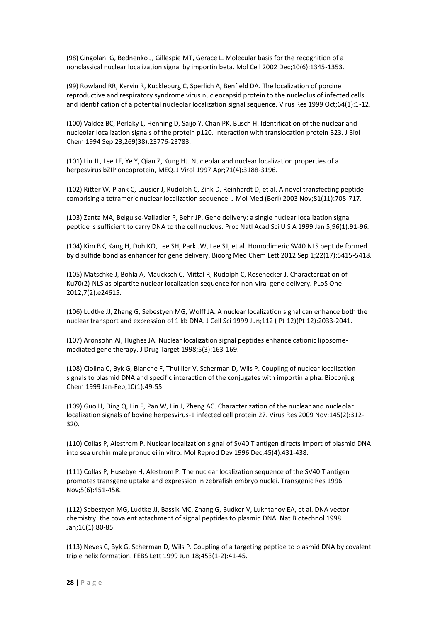(98) Cingolani G, Bednenko J, Gillespie MT, Gerace L. Molecular basis for the recognition of a nonclassical nuclear localization signal by importin beta. Mol Cell 2002 Dec;10(6):1345-1353.

(99) Rowland RR, Kervin R, Kuckleburg C, Sperlich A, Benfield DA. The localization of porcine reproductive and respiratory syndrome virus nucleocapsid protein to the nucleolus of infected cells and identification of a potential nucleolar localization signal sequence. Virus Res 1999 Oct;64(1):1-12.

(100) Valdez BC, Perlaky L, Henning D, Saijo Y, Chan PK, Busch H. Identification of the nuclear and nucleolar localization signals of the protein p120. Interaction with translocation protein B23. J Biol Chem 1994 Sep 23;269(38):23776-23783.

(101) Liu JL, Lee LF, Ye Y, Qian Z, Kung HJ. Nucleolar and nuclear localization properties of a herpesvirus bZIP oncoprotein, MEQ. J Virol 1997 Apr;71(4):3188-3196.

(102) Ritter W, Plank C, Lausier J, Rudolph C, Zink D, Reinhardt D, et al. A novel transfecting peptide comprising a tetrameric nuclear localization sequence. J Mol Med (Berl) 2003 Nov;81(11):708-717.

(103) Zanta MA, Belguise-Valladier P, Behr JP. Gene delivery: a single nuclear localization signal peptide is sufficient to carry DNA to the cell nucleus. Proc Natl Acad Sci U S A 1999 Jan 5;96(1):91-96.

(104) Kim BK, Kang H, Doh KO, Lee SH, Park JW, Lee SJ, et al. Homodimeric SV40 NLS peptide formed by disulfide bond as enhancer for gene delivery. Bioorg Med Chem Lett 2012 Sep 1;22(17):5415-5418.

(105) Matschke J, Bohla A, Maucksch C, Mittal R, Rudolph C, Rosenecker J. Characterization of Ku70(2)-NLS as bipartite nuclear localization sequence for non-viral gene delivery. PLoS One 2012;7(2):e24615.

(106) Ludtke JJ, Zhang G, Sebestyen MG, Wolff JA. A nuclear localization signal can enhance both the nuclear transport and expression of 1 kb DNA. J Cell Sci 1999 Jun;112 ( Pt 12)(Pt 12):2033-2041.

(107) Aronsohn AI, Hughes JA. Nuclear localization signal peptides enhance cationic liposomemediated gene therapy. J Drug Target 1998;5(3):163-169.

(108) Ciolina C, Byk G, Blanche F, Thuillier V, Scherman D, Wils P. Coupling of nuclear localization signals to plasmid DNA and specific interaction of the conjugates with importin alpha. Bioconjug Chem 1999 Jan-Feb;10(1):49-55.

(109) Guo H, Ding Q, Lin F, Pan W, Lin J, Zheng AC. Characterization of the nuclear and nucleolar localization signals of bovine herpesvirus-1 infected cell protein 27. Virus Res 2009 Nov;145(2):312- 320.

(110) Collas P, Alestrom P. Nuclear localization signal of SV40 T antigen directs import of plasmid DNA into sea urchin male pronuclei in vitro. Mol Reprod Dev 1996 Dec;45(4):431-438.

(111) Collas P, Husebye H, Alestrom P. The nuclear localization sequence of the SV40 T antigen promotes transgene uptake and expression in zebrafish embryo nuclei. Transgenic Res 1996 Nov;5(6):451-458.

(112) Sebestyen MG, Ludtke JJ, Bassik MC, Zhang G, Budker V, Lukhtanov EA, et al. DNA vector chemistry: the covalent attachment of signal peptides to plasmid DNA. Nat Biotechnol 1998 Jan;16(1):80-85.

(113) Neves C, Byk G, Scherman D, Wils P. Coupling of a targeting peptide to plasmid DNA by covalent triple helix formation. FEBS Lett 1999 Jun 18;453(1-2):41-45.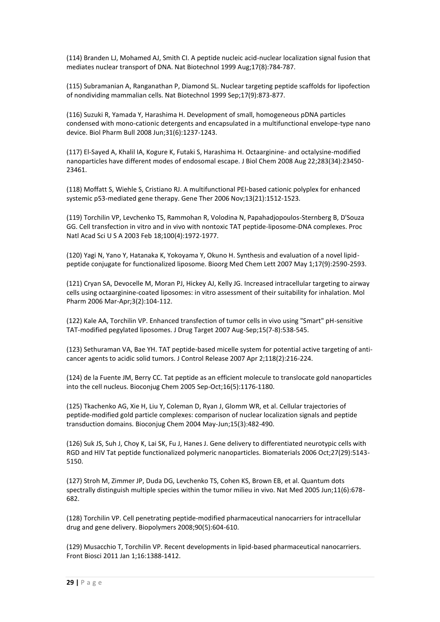(114) Branden LJ, Mohamed AJ, Smith CI. A peptide nucleic acid-nuclear localization signal fusion that mediates nuclear transport of DNA. Nat Biotechnol 1999 Aug;17(8):784-787.

(115) Subramanian A, Ranganathan P, Diamond SL. Nuclear targeting peptide scaffolds for lipofection of nondividing mammalian cells. Nat Biotechnol 1999 Sep;17(9):873-877.

(116) Suzuki R, Yamada Y, Harashima H. Development of small, homogeneous pDNA particles condensed with mono-cationic detergents and encapsulated in a multifunctional envelope-type nano device. Biol Pharm Bull 2008 Jun;31(6):1237-1243.

(117) El-Sayed A, Khalil IA, Kogure K, Futaki S, Harashima H. Octaarginine- and octalysine-modified nanoparticles have different modes of endosomal escape. J Biol Chem 2008 Aug 22;283(34):23450- 23461.

(118) Moffatt S, Wiehle S, Cristiano RJ. A multifunctional PEI-based cationic polyplex for enhanced systemic p53-mediated gene therapy. Gene Ther 2006 Nov;13(21):1512-1523.

(119) Torchilin VP, Levchenko TS, Rammohan R, Volodina N, Papahadjopoulos-Sternberg B, D'Souza GG. Cell transfection in vitro and in vivo with nontoxic TAT peptide-liposome-DNA complexes. Proc Natl Acad Sci U S A 2003 Feb 18;100(4):1972-1977.

(120) Yagi N, Yano Y, Hatanaka K, Yokoyama Y, Okuno H. Synthesis and evaluation of a novel lipidpeptide conjugate for functionalized liposome. Bioorg Med Chem Lett 2007 May 1;17(9):2590-2593.

(121) Cryan SA, Devocelle M, Moran PJ, Hickey AJ, Kelly JG. Increased intracellular targeting to airway cells using octaarginine-coated liposomes: in vitro assessment of their suitability for inhalation. Mol Pharm 2006 Mar-Apr;3(2):104-112.

(122) Kale AA, Torchilin VP. Enhanced transfection of tumor cells in vivo using "Smart" pH-sensitive TAT-modified pegylated liposomes. J Drug Target 2007 Aug-Sep;15(7-8):538-545.

(123) Sethuraman VA, Bae YH. TAT peptide-based micelle system for potential active targeting of anticancer agents to acidic solid tumors. J Control Release 2007 Apr 2;118(2):216-224.

(124) de la Fuente JM, Berry CC. Tat peptide as an efficient molecule to translocate gold nanoparticles into the cell nucleus. Bioconjug Chem 2005 Sep-Oct;16(5):1176-1180.

(125) Tkachenko AG, Xie H, Liu Y, Coleman D, Ryan J, Glomm WR, et al. Cellular trajectories of peptide-modified gold particle complexes: comparison of nuclear localization signals and peptide transduction domains. Bioconjug Chem 2004 May-Jun;15(3):482-490.

(126) Suk JS, Suh J, Choy K, Lai SK, Fu J, Hanes J. Gene delivery to differentiated neurotypic cells with RGD and HIV Tat peptide functionalized polymeric nanoparticles. Biomaterials 2006 Oct;27(29):5143- 5150.

(127) Stroh M, Zimmer JP, Duda DG, Levchenko TS, Cohen KS, Brown EB, et al. Quantum dots spectrally distinguish multiple species within the tumor milieu in vivo. Nat Med 2005 Jun;11(6):678- 682.

(128) Torchilin VP. Cell penetrating peptide-modified pharmaceutical nanocarriers for intracellular drug and gene delivery. Biopolymers 2008;90(5):604-610.

(129) Musacchio T, Torchilin VP. Recent developments in lipid-based pharmaceutical nanocarriers. Front Biosci 2011 Jan 1;16:1388-1412.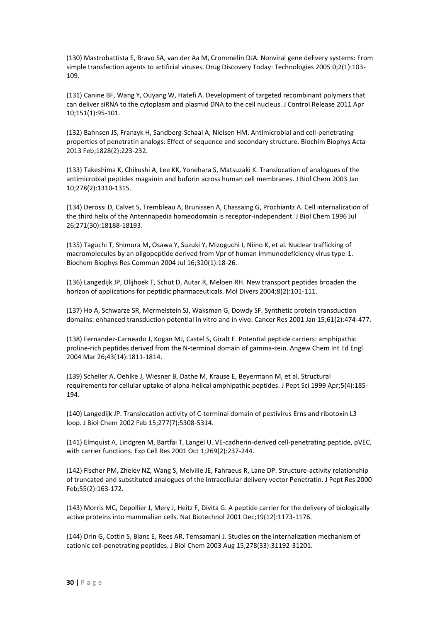(130) Mastrobattista E, Bravo SA, van der Aa M, Crommelin DJA. Nonviral gene delivery systems: From simple transfection agents to artificial viruses. Drug Discovery Today: Technologies 2005 0;2(1):103- 109.

(131) Canine BF, Wang Y, Ouyang W, Hatefi A. Development of targeted recombinant polymers that can deliver siRNA to the cytoplasm and plasmid DNA to the cell nucleus. J Control Release 2011 Apr 10;151(1):95-101.

(132) Bahnsen JS, Franzyk H, Sandberg-Schaal A, Nielsen HM. Antimicrobial and cell-penetrating properties of penetratin analogs: Effect of sequence and secondary structure. Biochim Biophys Acta 2013 Feb;1828(2):223-232.

(133) Takeshima K, Chikushi A, Lee KK, Yonehara S, Matsuzaki K. Translocation of analogues of the antimicrobial peptides magainin and buforin across human cell membranes. J Biol Chem 2003 Jan 10;278(2):1310-1315.

(134) Derossi D, Calvet S, Trembleau A, Brunissen A, Chassaing G, Prochiantz A. Cell internalization of the third helix of the Antennapedia homeodomain is receptor-independent. J Biol Chem 1996 Jul 26;271(30):18188-18193.

(135) Taguchi T, Shimura M, Osawa Y, Suzuki Y, Mizoguchi I, Niino K, et al. Nuclear trafficking of macromolecules by an oligopeptide derived from Vpr of human immunodeficiency virus type-1. Biochem Biophys Res Commun 2004 Jul 16;320(1):18-26.

(136) Langedijk JP, Olijhoek T, Schut D, Autar R, Meloen RH. New transport peptides broaden the horizon of applications for peptidic pharmaceuticals. Mol Divers 2004;8(2):101-111.

(137) Ho A, Schwarze SR, Mermelstein SJ, Waksman G, Dowdy SF. Synthetic protein transduction domains: enhanced transduction potential in vitro and in vivo. Cancer Res 2001 Jan 15;61(2):474-477.

(138) Fernandez-Carneado J, Kogan MJ, Castel S, Giralt E. Potential peptide carriers: amphipathic proline-rich peptides derived from the N-terminal domain of gamma-zein. Angew Chem Int Ed Engl 2004 Mar 26;43(14):1811-1814.

(139) Scheller A, Oehlke J, Wiesner B, Dathe M, Krause E, Beyermann M, et al. Structural requirements for cellular uptake of alpha-helical amphipathic peptides. J Pept Sci 1999 Apr;5(4):185- 194.

(140) Langedijk JP. Translocation activity of C-terminal domain of pestivirus Erns and ribotoxin L3 loop. J Biol Chem 2002 Feb 15;277(7):5308-5314.

(141) Elmquist A, Lindgren M, Bartfai T, Langel U. VE-cadherin-derived cell-penetrating peptide, pVEC, with carrier functions. Exp Cell Res 2001 Oct 1;269(2):237-244.

(142) Fischer PM, Zhelev NZ, Wang S, Melville JE, Fahraeus R, Lane DP. Structure-activity relationship of truncated and substituted analogues of the intracellular delivery vector Penetratin. J Pept Res 2000 Feb;55(2):163-172.

(143) Morris MC, Depollier J, Mery J, Heitz F, Divita G. A peptide carrier for the delivery of biologically active proteins into mammalian cells. Nat Biotechnol 2001 Dec;19(12):1173-1176.

(144) Drin G, Cottin S, Blanc E, Rees AR, Temsamani J. Studies on the internalization mechanism of cationic cell-penetrating peptides. J Biol Chem 2003 Aug 15;278(33):31192-31201.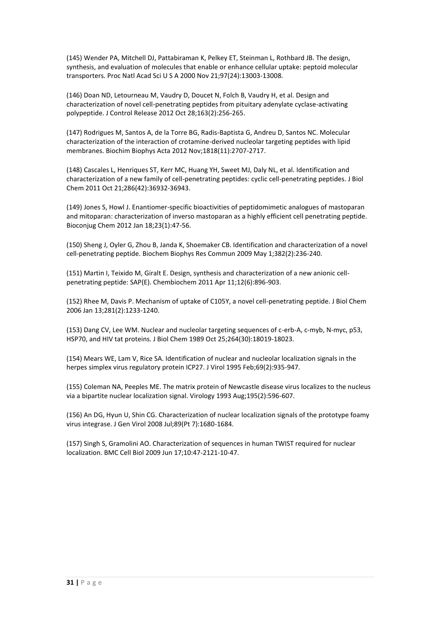(145) Wender PA, Mitchell DJ, Pattabiraman K, Pelkey ET, Steinman L, Rothbard JB. The design, synthesis, and evaluation of molecules that enable or enhance cellular uptake: peptoid molecular transporters. Proc Natl Acad Sci U S A 2000 Nov 21;97(24):13003-13008.

(146) Doan ND, Letourneau M, Vaudry D, Doucet N, Folch B, Vaudry H, et al. Design and characterization of novel cell-penetrating peptides from pituitary adenylate cyclase-activating polypeptide. J Control Release 2012 Oct 28;163(2):256-265.

(147) Rodrigues M, Santos A, de la Torre BG, Radis-Baptista G, Andreu D, Santos NC. Molecular characterization of the interaction of crotamine-derived nucleolar targeting peptides with lipid membranes. Biochim Biophys Acta 2012 Nov;1818(11):2707-2717.

(148) Cascales L, Henriques ST, Kerr MC, Huang YH, Sweet MJ, Daly NL, et al. Identification and characterization of a new family of cell-penetrating peptides: cyclic cell-penetrating peptides. J Biol Chem 2011 Oct 21;286(42):36932-36943.

(149) Jones S, Howl J. Enantiomer-specific bioactivities of peptidomimetic analogues of mastoparan and mitoparan: characterization of inverso mastoparan as a highly efficient cell penetrating peptide. Bioconjug Chem 2012 Jan 18;23(1):47-56.

(150) Sheng J, Oyler G, Zhou B, Janda K, Shoemaker CB. Identification and characterization of a novel cell-penetrating peptide. Biochem Biophys Res Commun 2009 May 1;382(2):236-240.

(151) Martin I, Teixido M, Giralt E. Design, synthesis and characterization of a new anionic cellpenetrating peptide: SAP(E). Chembiochem 2011 Apr 11;12(6):896-903.

(152) Rhee M, Davis P. Mechanism of uptake of C105Y, a novel cell-penetrating peptide. J Biol Chem 2006 Jan 13;281(2):1233-1240.

(153) Dang CV, Lee WM. Nuclear and nucleolar targeting sequences of c-erb-A, c-myb, N-myc, p53, HSP70, and HIV tat proteins. J Biol Chem 1989 Oct 25;264(30):18019-18023.

(154) Mears WE, Lam V, Rice SA. Identification of nuclear and nucleolar localization signals in the herpes simplex virus regulatory protein ICP27. J Virol 1995 Feb;69(2):935-947.

(155) Coleman NA, Peeples ME. The matrix protein of Newcastle disease virus localizes to the nucleus via a bipartite nuclear localization signal. Virology 1993 Aug;195(2):596-607.

(156) An DG, Hyun U, Shin CG. Characterization of nuclear localization signals of the prototype foamy virus integrase. J Gen Virol 2008 Jul;89(Pt 7):1680-1684.

(157) Singh S, Gramolini AO. Characterization of sequences in human TWIST required for nuclear localization. BMC Cell Biol 2009 Jun 17;10:47-2121-10-47.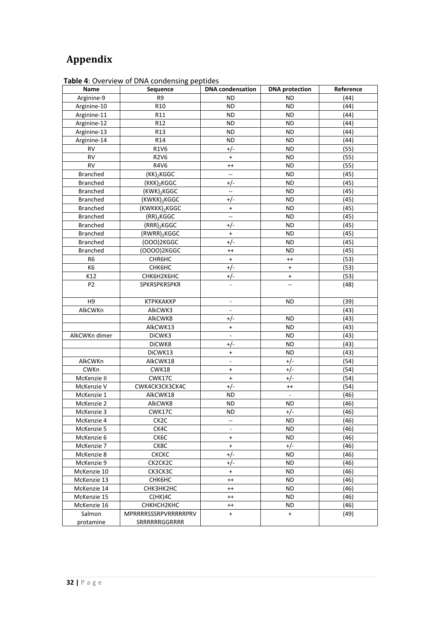## **Appendix**

| Name            | Sequence                 | <b>DNA</b> condensation          | <b>DNA</b> protection | Reference |
|-----------------|--------------------------|----------------------------------|-----------------------|-----------|
| Arginine-9      | R9                       | ND                               | ND                    | (44)      |
| Arginine-10     | R <sub>10</sub>          | <b>ND</b>                        | <b>ND</b>             | (44)      |
| Arginine-11     | R11                      | <b>ND</b>                        | <b>ND</b>             | (44)      |
| Arginine-12     | R12                      | ND                               | ND                    | (44)      |
| Arginine-13     | R13                      | <b>ND</b>                        | ND                    | (44)      |
| Arginine-14     | R14                      | <b>ND</b>                        | <b>ND</b>             | (44)      |
| RV              | <b>R1V6</b>              | $+/-$                            | ND                    | (55)      |
| <b>RV</b>       | <b>R2V6</b>              | $\ddot{}$                        | ND                    | (55)      |
| <b>RV</b>       | R4V6                     | $^{++}$                          | <b>ND</b>             | (55)      |
| <b>Branched</b> | $(KK)_{2}KGGC$           | $\overline{\phantom{a}}$         | ND                    | (45)      |
| <b>Branched</b> | (KKK) <sub>2</sub> KGGC  | $+/-$                            | ND                    | (45)      |
| <b>Branched</b> | (KWK) <sub>2</sub> KGGC  | $\overline{\phantom{a}}$         | ND                    | (45)      |
| <b>Branched</b> | (KWKK) <sub>2</sub> KGGC | $+/-$                            | ND                    | (45)      |
| <b>Branched</b> | (KWKKK)2KGGC             | $\ddot{}$                        | <b>ND</b>             | (45)      |
| <b>Branched</b> | $(RR)$ <sub>2</sub> KGGC | Ξ.                               | ND                    | (45)      |
| <b>Branched</b> | $(RRR)_2$ KGGC           | $+/-$                            | ND                    | (45)      |
| <b>Branched</b> | $(RWRR)_2KGGC$           | $\ddot{}$                        | ND                    | (45)      |
| <b>Branched</b> | (000)2KGGC               | $+/-$                            | <b>ND</b>             | (45)      |
| <b>Branched</b> | (0000)2KGGC              | $^{++}$                          | ND                    | (45)      |
| R <sub>6</sub>  | CHR6HC                   | $\ddot{}$                        | $^{++}$               | (53)      |
| K <sub>6</sub>  | СНК6НС                   | $+/-$                            | $+$                   | (53)      |
| K12             | СНК6Н2К6НС               | $+/-$                            | $\ddot{}$             | (53)      |
| P <sub>2</sub>  | SPKRSPKRSPKR             |                                  |                       | (48)      |
|                 |                          |                                  |                       |           |
| H <sub>9</sub>  | <b>КТРККАККР</b>         | $\overline{\phantom{a}}$         | ND                    | (39)      |
| AlkCWKn         | AlkCWK3                  |                                  |                       | (43)      |
|                 | AlkCWK8                  | $+/-$                            | ND                    | (43)      |
|                 | AlkCWK13                 | $\begin{array}{c} + \end{array}$ | ND                    | (43)      |
| AlkCWKn dimer   | DiCWK3                   |                                  | ND                    | (43)      |
|                 | DiCWK8                   | $+/-$                            | <b>ND</b>             | (43)      |
|                 | DiCWK13                  | $\begin{array}{c} + \end{array}$ | ND                    | (43)      |
| AlkCWKn         | AlkCWK18                 | $\overline{a}$                   | $+/-$                 | (54)      |
| CWKn            | CWK18                    | $\ddot{}$                        | $+/-$                 | (54)      |
| McKenzie II     | CWK17C                   | $\begin{array}{c} + \end{array}$ | $+/-$                 | (54)      |
| McKenzie V      | CWK4CK3CK3CK4C           | $+/-$                            | $^{++}$               | (54)      |
| McKenzie 1      | AlkCWK18                 | ND                               |                       | (46)      |
| McKenzie 2      | AlkCWK8                  | ND                               | <b>ND</b>             | (46)      |
| McKenzie 3      | CWK17C                   | ND                               | $+/-$                 | (46)      |
| McKenzie 4      | CK <sub>2</sub> C        | --                               | ND                    | (46)      |
| McKenzie 5      | CK4C                     | $\overline{\phantom{a}}$         | ND                    | (46)      |
| McKenzie 6      | CK6C                     | $\ddot{}$                        | ND                    | (46)      |
| McKenzie 7      | CK8C                     | $\begin{array}{c} + \end{array}$ | $+/-$                 | (46)      |
| McKenzie 8      | <b>CKCKC</b>             | $+/-$                            | ND                    | (46)      |
| McKenzie 9      | CK2CK2C                  | $+/-$                            | ND                    | (46)      |
| McKenzie 10     | CK3CK3C                  | $\ddot{}$                        | ND                    | (46)      |
| McKenzie 13     | <b>СНК6НС</b>            | $^{++}$                          | ND                    | (46)      |
| McKenzie 14     | СНКЗНК2НС                | $^{++}$                          | ND                    | (46)      |
| McKenzie 15     | $C(HK)$ 4C               | $^{++}$                          | ND                    | (46)      |
| McKenzie 16     | СНКНСН2КНС               | $^{++}$                          | ND                    | (46)      |
| Salmon          | MPRRRRSSSRPVRRRRRPRV     | $\ddot{}$                        | $\ddot{}$             | (49)      |
| protamine       | <b>SRRRRRRGGRRRR</b>     |                                  |                       |           |

**Table 4**: Overview of DNA condensing peptides